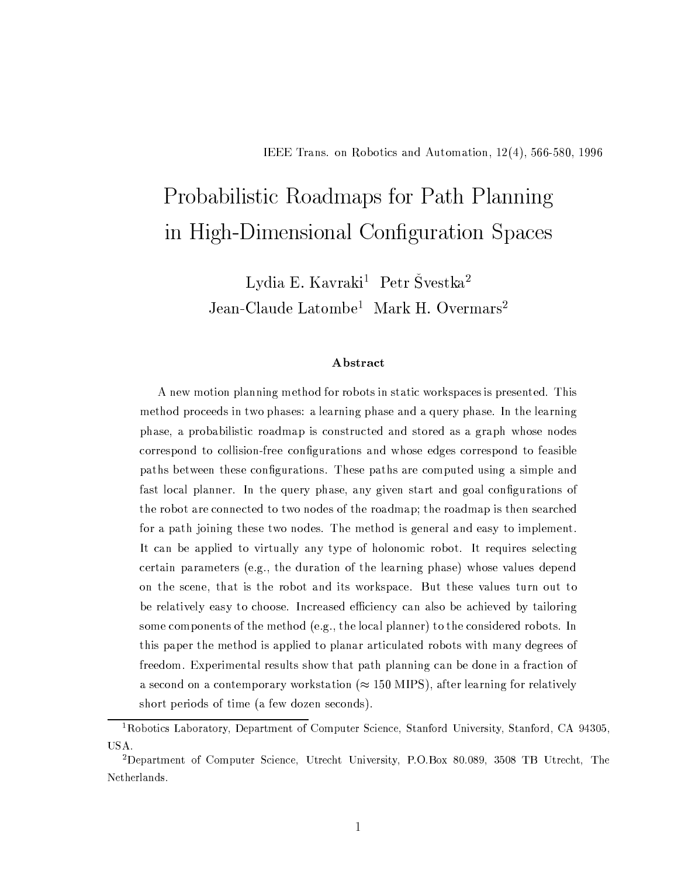# Probabilistic Roadmaps for Path Planning in High-Dimensional Configuration Spaces

Lydia E. Kavraki<sup>1</sup> Petr Švestka<sup>2</sup> Jean-Claude Latombe<sup>1</sup> Mark H. Overmars<sup>2</sup>

# Abstract

A new motion planning method for robots in static workspaces is presented. This method proceeds in two phases: a learning phase and a query phase. In the learning phase, a probabilistic roadmap is constructed and stored as a graph whose nodes correspond to collision-free configurations and whose edges correspond to feasible paths between these configurations. These paths are computed using a simple and fast local planner. In the query phase, any given start and goal configurations of the robot are connected to two nodes of the roadmap; the roadmap is then searched for a path joining these two nodes. The method is general and easy to implement. It can be applied to virtually any type of holonomic robot. It requires selecting certain parameters (e.g., the duration of the learning phase) whose values depend on the scene, that is the robot and its workspace. But these values turn out to be relatively easy to choose. Increased efficiency can also be achieved by tailoring some components of the method (e.g., the local planner) to the considered robots. In this paper the method is applied to planar articulated robots with many degrees of freedom. Experimental results show that path planning can be done in a fraction of a second on a contemporary workstation ( $\approx 150$  MIPS), after learning for relatively short periods of time (a few dozen seconds).

<sup>&</sup>lt;sup>1</sup>Robotics Laboratory, Department of Computer Science, Stanford University, Stanford, CA 94305, USA.

<sup>&</sup>lt;sup>2</sup>Department of Computer Science, Utrecht University, P.O.Box 80.089, 3508 TB Utrecht, The Netherlands.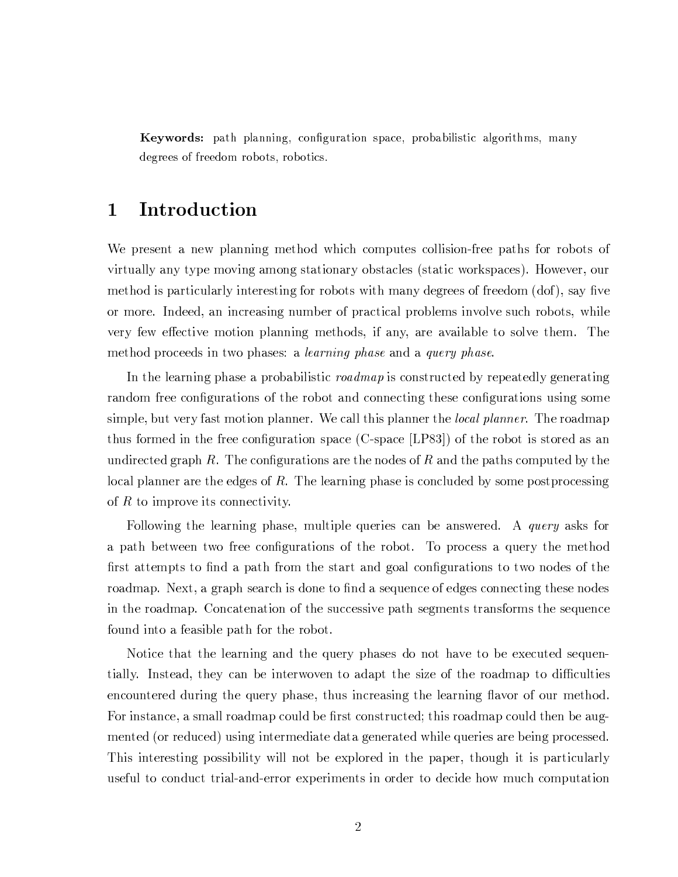Keywords: path planning, configuration space, probabilistic algorithms, many degrees of freedom robots, robotics.

## Introduction  $\mathbf{1}$

We present a new planning method which computes collision-free paths for robots of virtually any type moving among stationary obstacles (static workspaces). However, our method is particularly interesting for robots with many degrees of freedom (dof), say five or more. Indeed, an increasing number of practical problems involve such robots, while very few effective motion planning methods, if any, are available to solve them. The method proceeds in two phases: a *learning phase* and a *query phase*.

In the learning phase a probabilistic roadmap is constructed by repeatedly generating random free configurations of the robot and connecting these configurations using some simple, but very fast motion planner. We call this planner the *local planner*. The roadmap thus formed in the free configuration space (C-space [LP83]) of the robot is stored as an undirected graph R. The configurations are the nodes of R and the paths computed by the local planner are the edges of  $R$ . The learning phase is concluded by some postprocessing of  $R$  to improve its connectivity.

Following the learning phase, multiple queries can be answered. A *query* asks for a path between two free configurations of the robot. To process a query the method first attempts to find a path from the start and goal configurations to two nodes of the roadmap. Next, a graph search is done to find a sequence of edges connecting these nodes in the roadmap. Concatenation of the successive path segments transforms the sequence found into a feasible path for the robot.

Notice that the learning and the query phases do not have to be executed sequentially. Instead, they can be interwoven to adapt the size of the roadmap to difficulties encountered during the query phase, thus increasing the learning flavor of our method. For instance, a small roadmap could be first constructed; this roadmap could then be augmented (or reduced) using intermediate data generated while queries are being processed. This interesting possibility will not be explored in the paper, though it is particularly useful to conduct trial-and-error experiments in order to decide how much computation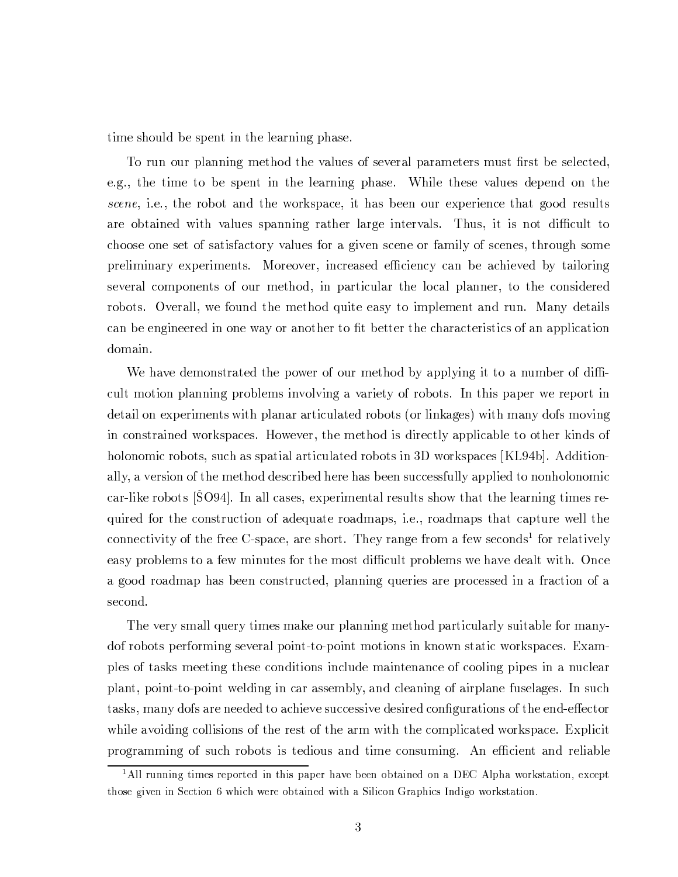time should be spent in the learning phase.

To run our planning method the values of several parameters must first be selected, e.g., the time to be spent in the learning phase. While these values depend on the scene, i.e., the robot and the workspace, it has been our experience that good results are obtained with values spanning rather large intervals. Thus, it is not difficult to choose one set of satisfactory values for a given scene or family of scenes, through some preliminary experiments. Moreover, increased efficiency can be achieved by tailoring several components of our method, in particular the local planner, to the considered robots. Overall, we found the method quite easy to implement and run. Many details can be engineered in one way or another to fit better the characteristics of an application domain.

We have demonstrated the power of our method by applying it to a number of difficult motion planning problems involving a variety of robots. In this paper we report in detail on experiments with planar articulated robots (or linkages) with many dofs moving in constrained workspaces. However, the method is directly applicable to other kinds of holonomic robots, such as spatial articulated robots in 3D workspaces [KL94b]. Additionally, a version of the method described here has been successfully applied to nonholonomic car-like robots [SO94]. In all cases, experimental results show that the learning times required for the construction of adequate roadmaps, *i.e.*, roadmaps that capture well the connectivity of the free C-space, are short. They range from a few seconds<sup>1</sup> for relatively easy problems to a few minutes for the most difficult problems we have dealt with. Once a good roadmap has been constructed, planning queries are processed in a fraction of a second.

The very small query times make our planning method particularly suitable for manydof robots performing several point-to-point motions in known static workspaces. Examples of tasks meeting these conditions include maintenance of cooling pipes in a nuclear plant, point-to-point welding in car assembly, and cleaning of airplane fuselages. In such tasks, many dofs are needed to achieve successive desired configurations of the end-effector while avoiding collisions of the rest of the arm with the complicated workspace. Explicit programming of such robots is tedious and time consuming. An efficient and reliable

<sup>&</sup>lt;sup>1</sup>All running times reported in this paper have been obtained on a DEC Alpha workstation, except those given in Section 6 which were obtained with a Silicon Graphics Indigo workstation.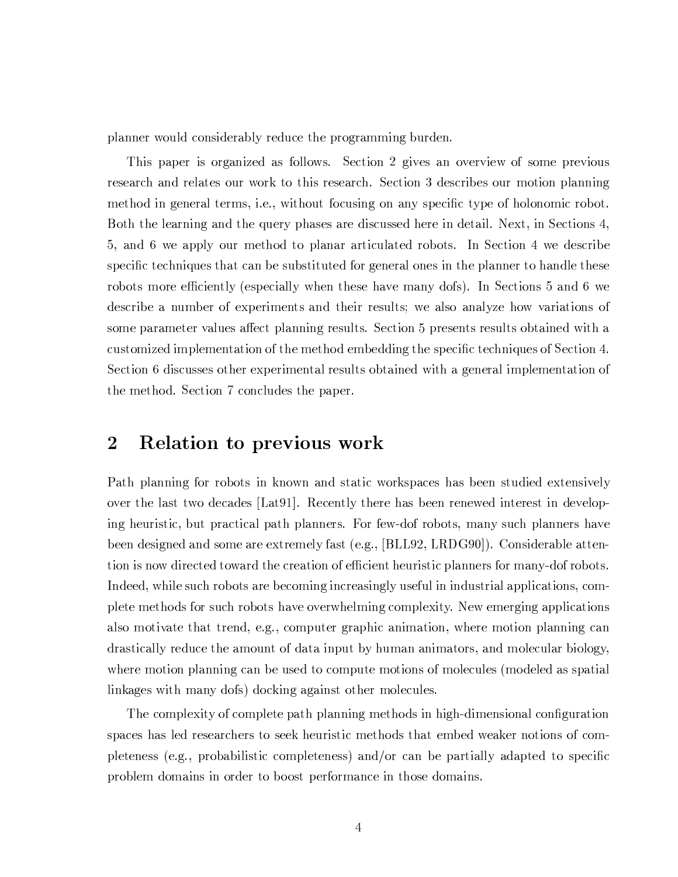planner would considerably reduce the programming burden.

This paper is organized as follows. Section 2 gives an overview of some previous research and relates our work to this research. Section 3 describes our motion planning method in general terms, i.e., without focusing on any specific type of holonomic robot. Both the learning and the query phases are discussed here in detail. Next, in Sections 4, 5, and 6 we apply our method to planar articulated robots. In Section 4 we describe specific techniques that can be substituted for general ones in the planner to handle these robots more efficiently (especially when these have many dofs). In Sections 5 and 6 we describe a number of experiments and their results; we also analyze how variations of some parameter values affect planning results. Section 5 presents results obtained with a customized implementation of the method embedding the specific techniques of Section 4. Section 6 discusses other experimental results obtained with a general implementation of the method. Section 7 concludes the paper.

# $\overline{2}$ Relation to previous work

Path planning for robots in known and static workspaces has been studied extensively over the last two decades [Lat91]. Recently there has been renewed interest in developing heuristic, but practical path planners. For few-dof robots, many such planners have been designed and some are extremely fast (e.g.,  $|BLL92, LRDG90|$ ). Considerable attention is now directed toward the creation of efficient heuristic planners for many-dof robots. Indeed, while such robots are becoming increasingly useful in industrial applications, complete methods for such robots have overwhelming complexity. New emerging applications also motivate that trend, e.g., computer graphic animation, where motion planning can drastically reduce the amount of data input by human animators, and molecular biology, where motion planning can be used to compute motions of molecules (modeled as spatial linkages with many dofs) docking against other molecules.

The complexity of complete path planning methods in high-dimensional configuration spaces has led researchers to seek heuristic methods that embed weaker notions of completeness (e.g., probabilistic completeness) and/or can be partially adapted to specific problem domains in order to boost performance in those domains.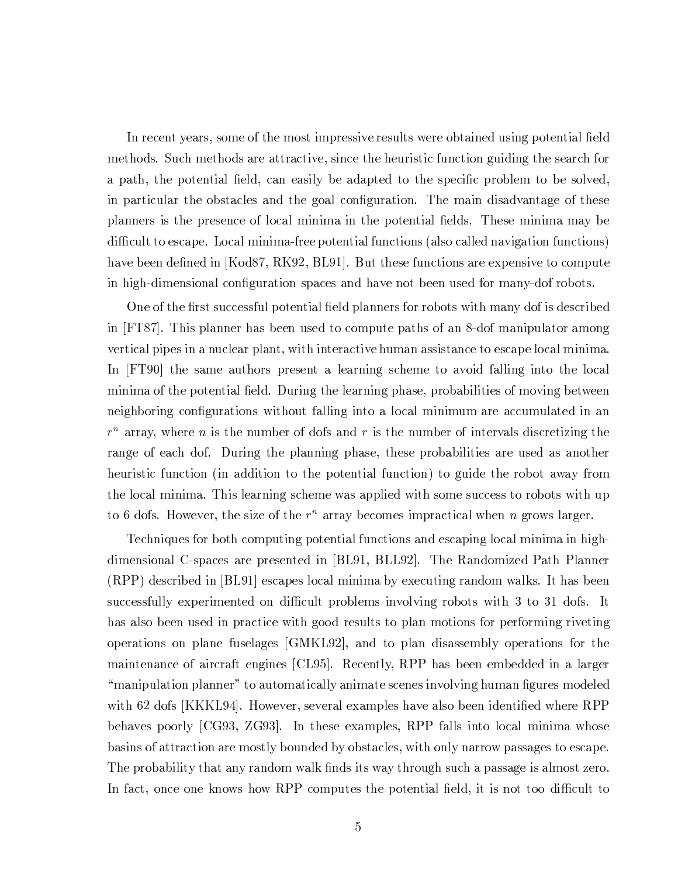In recent years, some of the most impressive results were obtained using potential field methods. Such methods are attractive, since the heuristic function guiding the search for a path, the potential field, can easily be adapted to the specific problem to be solved, in particular the obstacles and the goal configuration. The main disadvantage of these planners is the presence of local minima in the potential fields. These minima may be difficult to escape. Local minima-free potential functions (also called navigation functions) have been defined in [Kod87, RK92, BL91]. But these functions are expensive to compute in high-dimensional configuration spaces and have not been used for many-dof robots.

One of the first successful potential field planners for robots with many dof is described in [FT87]. This planner has been used to compute paths of an 8-dof manipulator among vertical pipes in a nuclear plant, with interactive human assistance to escape local minima. In [FT90] the same authors present a learning scheme to avoid falling into the local minima of the potential field. During the learning phase, probabilities of moving between neighboring configurations without falling into a local minimum are accumulated in an  $r^n$  array, where *n* is the number of dofs and *r* is the number of intervals discretizing the range of each dof. During the planning phase, these probabilities are used as another heuristic function (in addition to the potential function) to guide the robot away from the local minima. This learning scheme was applied with some success to robots with up to 6 dofs. However, the size of the  $r^n$  array becomes impractical when n grows larger.

Techniques for both computing potential functions and escaping local minima in highdimensional C-spaces are presented in [BL91, BLL92]. The Randomized Path Planner (RPP) described in [BL91] escapes local minima by executing random walks. It has been successfully experimented on difficult problems involving robots with 3 to 31 dofs. It has also been used in practice with good results to plan motions for performing riveting operations on plane fuselages [GMKL92], and to plan disassembly operations for the maintenance of aircraft engines [CL95]. Recently, RPP has been embedded in a larger "manipulation planner" to automatically animate scenes involving human figures modeled with 62 dofs [KKKL94]. However, several examples have also been identified where RPP behaves poorly [CG93, ZG93]. In these examples, RPP falls into local minima whose basins of attraction are mostly bounded by obstacles, with only narrow passages to escape. The probability that any random walk finds its way through such a passage is almost zero. In fact, once one knows how RPP computes the potential field, it is not too difficult to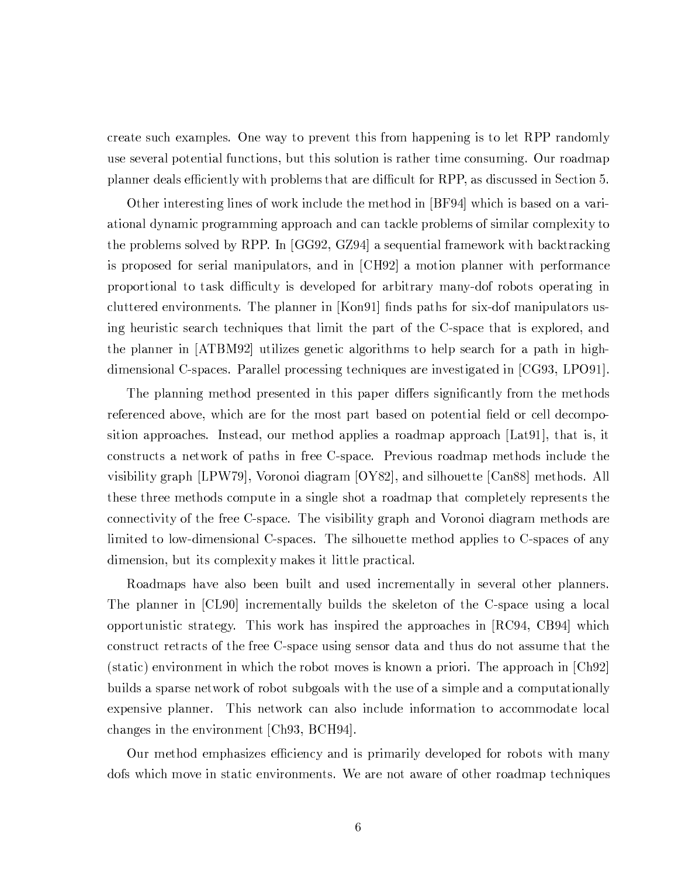create such examples. One way to prevent this from happening is to let RPP randomly use several potential functions, but this solution is rather time consuming. Our roadmap planner deals efficiently with problems that are difficult for RPP, as discussed in Section 5.

Other interesting lines of work include the method in [BF94] which is based on a variational dynamic programming approach and can tackle problems of similar complexity to the problems solved by RPP. In [GG92, GZ94] a sequential framework with backtracking is proposed for serial manipulators, and in  $\vert$ CH92 a motion planner with performance proportional to task difficulty is developed for arbitrary many-dof robots operating in cluttered environments. The planner in [Kon91] finds paths for six-dof manipulators using heuristic search techniques that limit the part of the C-space that is explored, and the planner in [ATBM92] utilizes genetic algorithms to help search for a path in highdimensional C-spaces. Parallel processing techniques are investigated in  $|CG93, LPO91|$ .

The planning method presented in this paper differs significantly from the methods referenced above, which are for the most part based on potential field or cell decomposition approaches. Instead, our method applies a roadmap approach [Lat91], that is, it constructs a network of paths in free C-space. Previous roadmap methods include the visibility graph [LPW79], Voronoi diagram [OY82], and silhouette [Can88] methods. All these three methods compute in a single shot a roadmap that completely represents the connectivity of the free C-space. The visibility graph and Voronoi diagram methods are limited to low-dimensional C-spaces. The silhouette method applies to C-spaces of any dimension, but its complexity makes it little practical.

Roadmaps have also been built and used incrementally in several other planners. The planner in [CL90] incrementally builds the skeleton of the C-space using a local opportunistic strategy. This work has inspired the approaches in  $|RC94, CB94|$  which construct retracts of the free C-space using sensor data and thus do not assume that the (static) environment in which the robot moves is known a priori. The approach in  $[Ch92]$ builds a sparse network of robot subgoals with the use of a simple and a computationally expensive planner. This network can also include information to accommodate local changes in the environment [Ch93, BCH94].

Our method emphasizes efficiency and is primarily developed for robots with many dofs which move in static environments. We are not aware of other roadmap techniques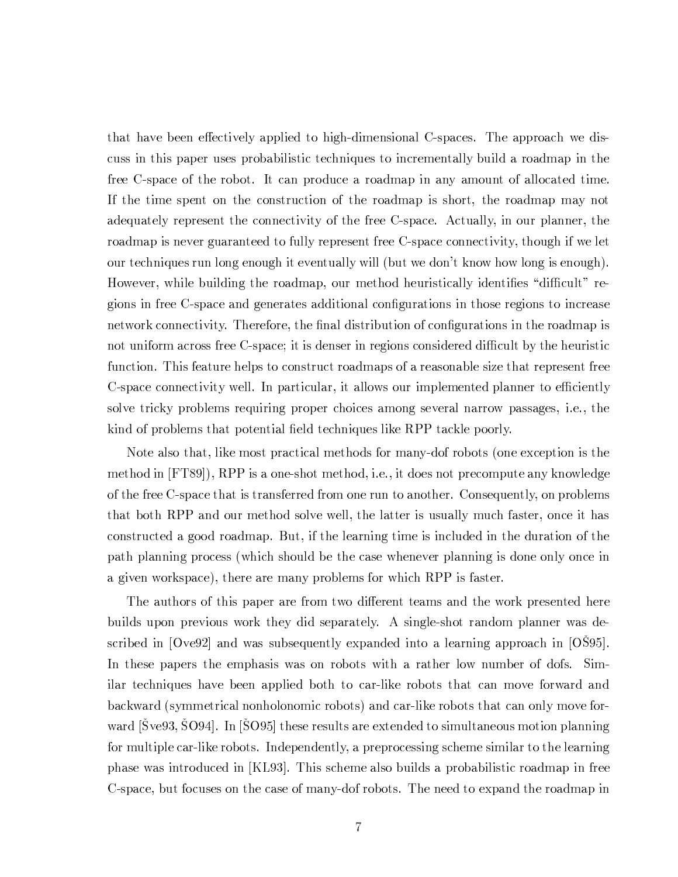that have been effectively applied to high-dimensional C-spaces. The approach we discuss in this paper uses probabilistic techniques to incrementally build a roadmap in the free C-space of the robot. It can produce a roadmap in any amount of allocated time. If the time spent on the construction of the roadmap is short, the roadmap may not adequately represent the connectivity of the free C-space. Actually, in our planner, the roadmap is never guaranteed to fully represent free C-space connectivity, though if we let our techniques run long enough it eventually will (but we don't know how long is enough). However, while building the roadmap, our method heuristically identifies "difficult" regions in free C-space and generates additional configurations in those regions to increase network connectivity. Therefore, the final distribution of configurations in the roadmap is not uniform across free C-space; it is denser in regions considered difficult by the heuristic function. This feature helps to construct roadmaps of a reasonable size that represent free C-space connectivity well. In particular, it allows our implemented planner to efficiently solve tricky problems requiring proper choices among several narrow passages, i.e., the kind of problems that potential field techniques like RPP tackle poorly.

Note also that, like most practical methods for many-dof robots (one exception is the method in [FT89]), RPP is a one-shot method, i.e., it does not precompute any knowledge of the free C-space that is transferred from one run to another. Consequently, on problems that both RPP and our method solve well, the latter is usually much faster, once it has constructed a good roadmap. But, if the learning time is included in the duration of the path planning process (which should be the case whenever planning is done only once in a given workspace), there are many problems for which RPP is faster.

The authors of this paper are from two different teams and the work presented here builds upon previous work they did separately. A single-shot random planner was described in  $[Ove92]$  and was subsequently expanded into a learning approach in  $[O595]$ . In these papers the emphasis was on robots with a rather low number of dofs. Similar techniques have been applied both to car-like robots that can move forward and backward (symmetrical nonholonomic robots) and car-like robots that can only move forward [Sve93, SO94]. In [SO95] these results are extended to simultaneous motion planning for multiple car-like robots. Independently, a preprocessing scheme similar to the learning phase was introduced in [KL93]. This scheme also builds a probabilistic roadmap in free C-space, but focuses on the case of many-dof robots. The need to expand the roadmap in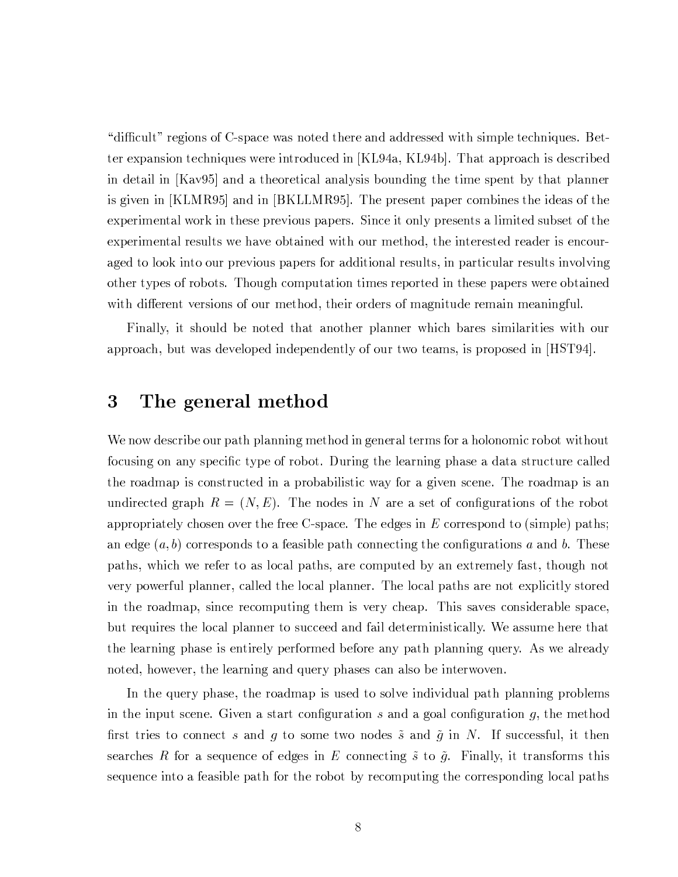"difficult" regions of C-space was noted there and addressed with simple techniques. Better expansion techniques were introduced in [KL94a, KL94b]. That approach is described in detail in [Kav95] and a theoretical analysis bounding the time spent by that planner is given in [KLMR95] and in [BKLLMR95]. The present paper combines the ideas of the experimental work in these previous papers. Since it only presents a limited subset of the experimental results we have obtained with our method, the interested reader is encouraged to look into our previous papers for additional results, in particular results involving other types of robots. Though computation times reported in these papers were obtained with different versions of our method, their orders of magnitude remain meaningful.

Finally, it should be noted that another planner which bares similarities with our approach, but was developed independently of our two teams, is proposed in [HST94].

#### 3 The general method

We now describe our path planning method in general terms for a holonomic robot without focusing on any specific type of robot. During the learning phase a data structure called the roadmap is constructed in a probabilistic way for a given scene. The roadmap is an undirected graph  $R = (N, E)$ . The nodes in N are a set of configurations of the robot appropriately chosen over the free C-space. The edges in  $E$  correspond to (simple) paths; an edge  $(a, b)$  corresponds to a feasible path connecting the configurations a and b. These paths, which we refer to as local paths, are computed by an extremely fast, though not very powerful planner, called the local planner. The local paths are not explicitly stored in the roadmap, since recomputing them is very cheap. This saves considerable space, but requires the local planner to succeed and fail deterministically. We assume here that the learning phase is entirely performed before any path planning query. As we already noted, however, the learning and query phases can also be interwoven.

In the query phase, the roadmap is used to solve individual path planning problems in the input scene. Given a start configuration s and a goal configuration  $g$ , the method first tries to connect s and g to some two nodes  $\tilde{s}$  and  $\tilde{g}$  in N. If successful, it then searches R for a sequence of edges in E connecting  $\tilde{s}$  to  $\tilde{g}$ . Finally, it transforms this sequence into a feasible path for the robot by recomputing the corresponding local paths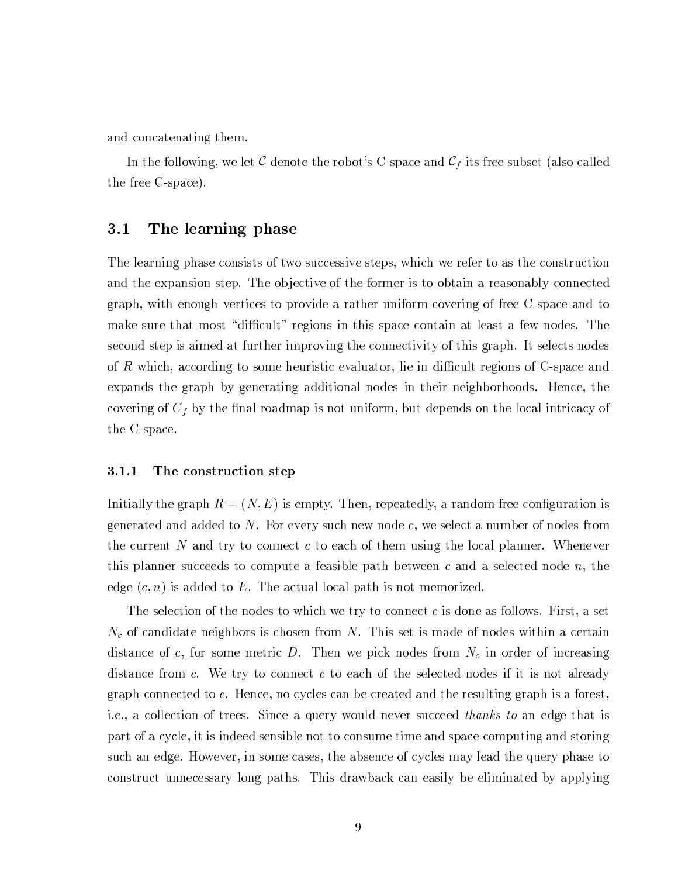and concatenating them.

In the following, we let C denote the robot's C-space and  $\mathcal{C}_f$  its free subset (also called the free C-space).

#### $3.1$ The learning phase

The learning phase consists of two successive steps, which we refer to as the construction and the expansion step. The objective of the former is to obtain a reasonably connected graph, with enough vertices to provide a rather uniform covering of free C-space and to make sure that most "difficult" regions in this space contain at least a few nodes. The second step is aimed at further improving the connectivity of this graph. It selects nodes of R which, according to some heuristic evaluator, lie in difficult regions of C-space and expands the graph by generating additional nodes in their neighborhoods. Hence, the covering of  $C_f$  by the final roadmap is not uniform, but depends on the local intricacy of the C-space.

#### $3.1.1$ The construction step

Initially the graph  $R = (N, E)$  is empty. Then, repeatedly, a random free configuration is generated and added to  $N$ . For every such new node  $c$ , we select a number of nodes from the current N and try to connect  $c$  to each of them using the local planner. Whenever this planner succeeds to compute a feasible path between c and a selected node  $n$ , the edge  $(c, n)$  is added to E. The actual local path is not memorized.

The selection of the nodes to which we try to connect c is done as follows. First, a set  $N_c$  of candidate neighbors is chosen from N. This set is made of nodes within a certain distance of c, for some metric D. Then we pick nodes from  $N_c$  in order of increasing distance from c. We try to connect c to each of the selected nodes if it is not already graph-connected to c. Hence, no cycles can be created and the resulting graph is a forest, i.e., a collection of trees. Since a query would never succeed thanks to an edge that is part of a cycle, it is indeed sensible not to consume time and space computing and storing such an edge. However, in some cases, the absence of cycles may lead the query phase to construct unnecessary long paths. This drawback can easily be eliminated by applying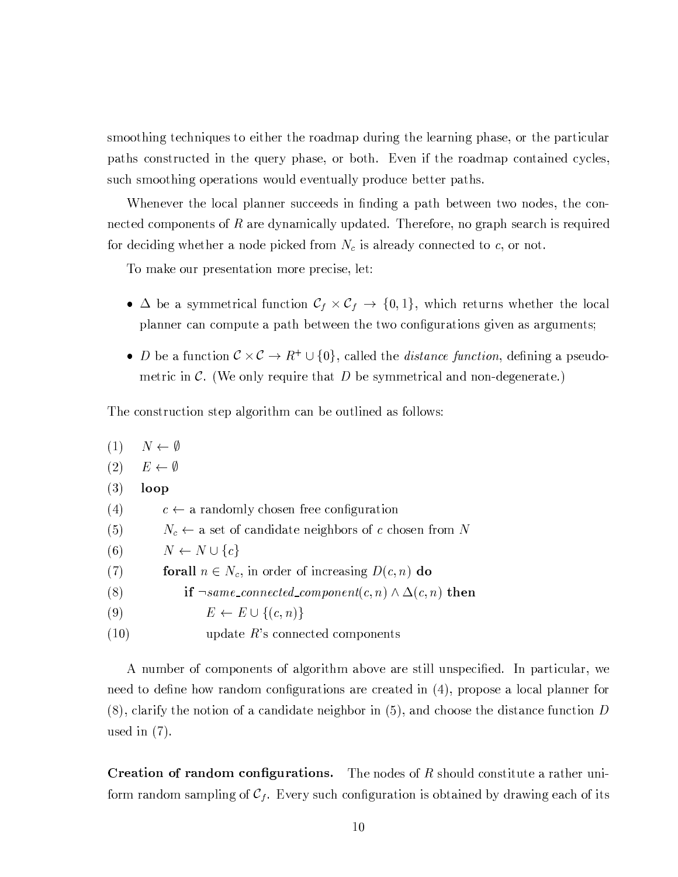smoothing techniques to either the roadmap during the learning phase, or the particular paths constructed in the query phase, or both. Even if the roadmap contained cycles, such smoothing operations would eventually produce better paths.

Whenever the local planner succeeds in finding a path between two nodes, the connected components of  $R$  are dynamically updated. Therefore, no graph search is required for deciding whether a node picked from  $N_c$  is already connected to  $c,$  or not.

To make our presentation more precise, let:

- $\Delta$  be a symmetrical function  $C_f \times C_f \rightarrow \{0,1\}$ , which returns whether the local planner can compute a path between the two configurations given as arguments;
- *D* be a function  $C \times C \rightarrow R^+ \cup \{0\}$ , called the *distance function*, defining a pseudometric in  $\mathcal{C}$ . (We only require that D be symmetrical and non-degenerate.)

The construction step algorithm can be outlined as follows:

 $N \leftarrow \emptyset$  $(1)$  $E\leftarrow \emptyset$  $(2)$  $(3)$ loop  $c \leftarrow$  a randomly chosen free configuration  $(4)$  $N_c \leftarrow$  a set of candidate neighbors of c chosen from N  $(5)$  $N \leftarrow N \cup \{c\}$  $(6)$ **forall**  $n \in N_c$ , in order of increasing  $D(c, n)$  do  $(7)$ if  $\neg same\_connected\_component(c, n) \wedge \Delta(c, n)$  then  $(8)$  $E \leftarrow E \cup \{(c, n)\}\$  $(9)$  $(10)$ update  $R$ 's connected components

A number of components of algorithm above are still unspecified. In particular, we need to define how random configurations are created in  $(4)$ , propose a local planner for  $(8)$ , clarify the notion of a candidate neighbor in  $(5)$ , and choose the distance function D used in  $(7)$ .

**Creation of random configurations.** The nodes of R should constitute a rather uniform random sampling of  $\mathcal{C}_f$ . Every such configuration is obtained by drawing each of its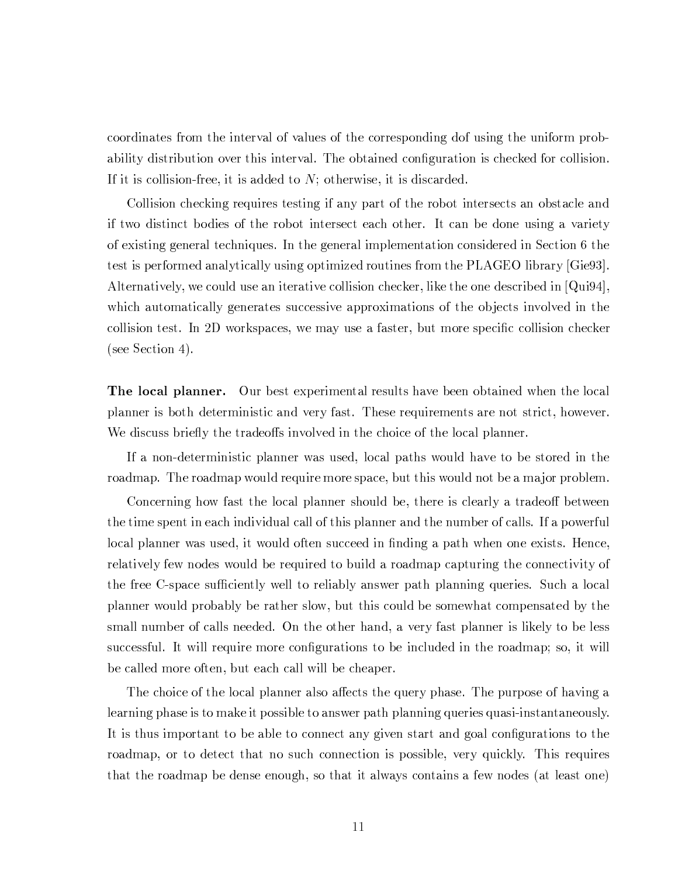coordinates from the interval of values of the corresponding dof using the uniform probability distribution over this interval. The obtained configuration is checked for collision. If it is collision-free, it is added to  $N$ ; otherwise, it is discarded.

Collision checking requires testing if any part of the robot intersects an obstacle and if two distinct bodies of the robot intersect each other. It can be done using a variety of existing general techniques. In the general implementation considered in Section 6 the test is performed analytically using optimized routines from the PLAGEO library [Gie93]. Alternatively, we could use an iterative collision checker, like the one described in  $[Qui94]$ , which automatically generates successive approximations of the objects involved in the collision test. In 2D workspaces, we may use a faster, but more specific collision checker (see Section 4).

**The local planner.** Our best experimental results have been obtained when the local planner is both deterministic and very fast. These requirements are not strict, however. We discuss briefly the tradeoffs involved in the choice of the local planner.

If a non-deterministic planner was used, local paths would have to be stored in the roadmap. The roadmap would require more space, but this would not be a major problem.

Concerning how fast the local planner should be, there is clearly a tradeoff between the time spent in each individual call of this planner and the number of calls. If a powerful local planner was used, it would often succeed in finding a path when one exists. Hence, relatively few nodes would be required to build a roadmap capturing the connectivity of the free C-space sufficiently well to reliably answer path planning queries. Such a local planner would probably be rather slow, but this could be somewhat compensated by the small number of calls needed. On the other hand, a very fast planner is likely to be less successful. It will require more configurations to be included in the roadmap; so, it will be called more often, but each call will be cheaper.

The choice of the local planner also affects the query phase. The purpose of having a learning phase is to make it possible to answer path planning queries quasi-instantaneously. It is thus important to be able to connect any given start and goal configurations to the roadmap, or to detect that no such connection is possible, very quickly. This requires that the roadmap be dense enough, so that it always contains a few nodes (at least one)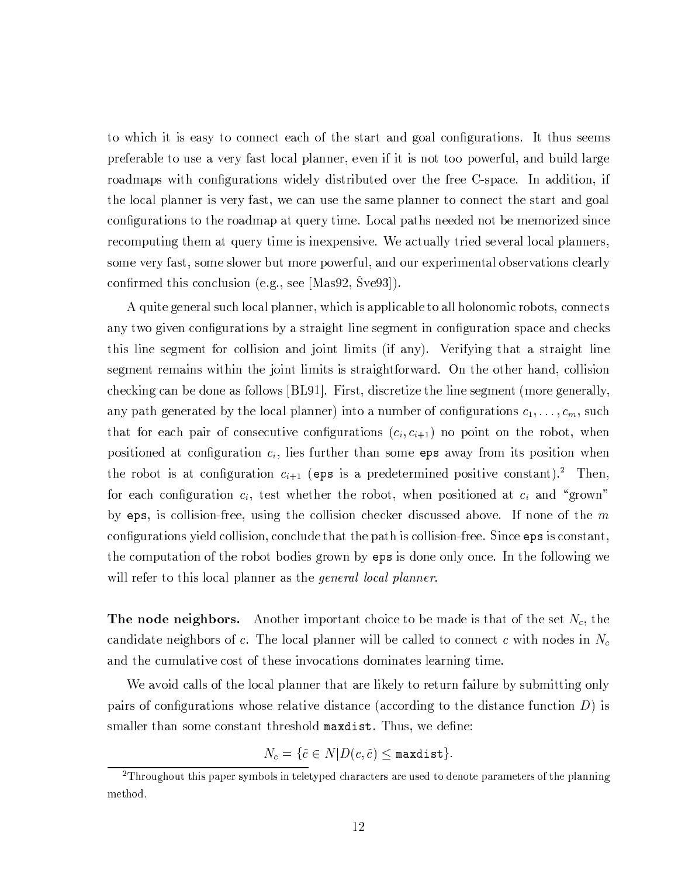to which it is easy to connect each of the start and goal configurations. It thus seems preferable to use a very fast local planner, even if it is not too powerful, and build large roadmaps with configurations widely distributed over the free C-space. In addition, if the local planner is very fast, we can use the same planner to connect the start and goal configurations to the roadmap at query time. Local paths needed not be memorized since recomputing them at query time is inexpensive. We actually tried several local planners, some very fast, some slower but more powerful, and our experimental observations clearly confirmed this conclusion (e.g., see [Mas92, Sve93]).

A quite general such local planner, which is applicable to all holonomic robots, connects any two given configurations by a straight line segment in configuration space and checks this line segment for collision and joint limits (if any). Verifying that a straight line segment remains within the joint limits is straightforward. On the other hand, collision checking can be done as follows [BL91]. First, discretize the line segment (more generally, any path generated by the local planner) into a number of configurations  $c_1, \ldots, c_m$ , such that for each pair of consecutive configurations  $(c_i, c_{i+1})$  no point on the robot, when positioned at configuration  $c_i$ , lies further than some eps away from its position when the robot is at configuration  $c_{i+1}$  (eps is a predetermined positive constant).<sup>2</sup> Then, for each configuration  $c_i$ , test whether the robot, when positioned at  $c_i$  and "grown" by eps, is collision-free, using the collision checker discussed above. If none of the  $m$ configurations yield collision, conclude that the path is collision-free. Since eps is constant, the computation of the robot bodies grown by eps is done only once. In the following we will refer to this local planner as the *general local planner*.

**The node neighbors.** Another important choice to be made is that of the set  $N_c$ , the candidate neighbors of c. The local planner will be called to connect c with nodes in  $N_c$ and the cumulative cost of these invocations dominates learning time.

We avoid calls of the local planner that are likely to return failure by submitting only pairs of configurations whose relative distance (according to the distance function  $D$ ) is smaller than some constant threshold maxdist. Thus, we define:

$$
N_c = \{ \tilde{c} \in N | D(c, \tilde{c}) \leq \text{maxdist} \}
$$

 ${}^{2}$ Throughout this paper symbols in teletyped characters are used to denote parameters of the planning method.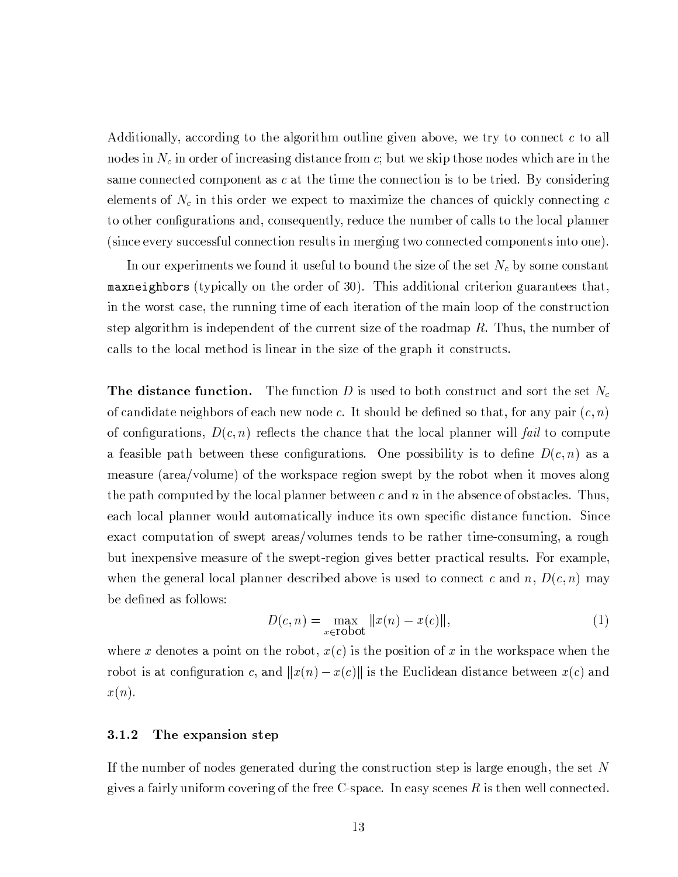Additionally, according to the algorithm outline given above, we try to connect  $c$  to all nodes in  $N_c$  in order of increasing distance from c; but we skip those nodes which are in the same connected component as  $c$  at the time the connection is to be tried. By considering elements of  $N_c$  in this order we expect to maximize the chances of quickly connecting c to other configurations and, consequently, reduce the number of calls to the local planner (since every successful connection results in merging two connected components into one).

In our experiments we found it useful to bound the size of the set  $N_c$  by some constant maxneighbors (typically on the order of 30). This additional criterion guarantees that, in the worst case, the running time of each iteration of the main loop of the construction step algorithm is independent of the current size of the roadmap  $R$ . Thus, the number of calls to the local method is linear in the size of the graph it constructs.

**The distance function.** The function D is used to both construct and sort the set  $N_c$ of candidate neighbors of each new node c. It should be defined so that, for any pair  $(c, n)$ of configurations,  $D(c, n)$  reflects the chance that the local planner will fail to compute a feasible path between these configurations. One possibility is to define  $D(c, n)$  as a measure (area/volume) of the workspace region swept by the robot when it moves along the path computed by the local planner between c and n in the absence of obstacles. Thus, each local planner would automatically induce its own specific distance function. Since exact computation of swept areas/volumes tends to be rather time-consuming, a rough but inexpensive measure of the swept-region gives better practical results. For example, when the general local planner described above is used to connect c and n,  $D(c, n)$  may be defined as follows:

$$
D(c, n) = \max_{x \in \text{robot}} ||x(n) - x(c)||,
$$
\n(1)

where x denotes a point on the robot,  $x(c)$  is the position of x in the workspace when the robot is at configuration c, and  $||x(n) - x(c)||$  is the Euclidean distance between  $x(c)$  and  $x(n)$ .

#### $3.1.2$ The expansion step

If the number of nodes generated during the construction step is large enough, the set  $N$ gives a fairly uniform covering of the free C-space. In easy scenes  $R$  is then well connected.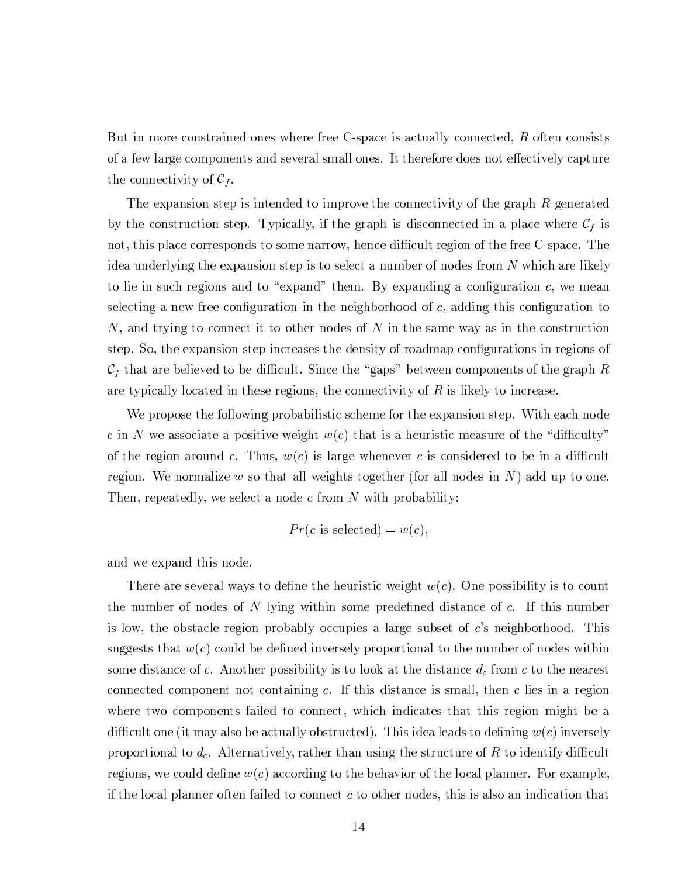But in more constrained ones where free C-space is actually connected, R often consists of a few large components and several small ones. It therefore does not effectively capture the connectivity of  $\mathcal{C}_f$ .

The expansion step is intended to improve the connectivity of the graph  $R$  generated by the construction step. Typically, if the graph is disconnected in a place where  $\mathcal{C}_f$  is not, this place corresponds to some narrow, hence difficult region of the free C-space. The idea underlying the expansion step is to select a number of nodes from  $N$  which are likely to lie in such regions and to "expand" them. By expanding a configuration  $c$ , we mean selecting a new free configuration in the neighborhood of c, adding this configuration to N, and trying to connect it to other nodes of N in the same way as in the construction step. So, the expansion step increases the density of roadmap configurations in regions of  $\mathcal{C}_f$  that are believed to be difficult. Since the "gaps" between components of the graph R are typically located in these regions, the connectivity of  $R$  is likely to increase.

We propose the following probabilistic scheme for the expansion step. With each node c in N we associate a positive weight  $w(c)$  that is a heuristic measure of the "difficulty" of the region around c. Thus,  $w(c)$  is large whenever c is considered to be in a difficult region. We normalize w so that all weights together (for all nodes in  $N$ ) add up to one. Then, repeatedly, we select a node c from N with probability:

$$
Pr(c \text{ is selected}) = w(c),
$$

and we expand this node.

There are several ways to define the heuristic weight  $w(c)$ . One possibility is to count the number of nodes of N lying within some predefined distance of c. If this number is low, the obstacle region probably occupies a large subset of  $c$ 's neighborhood. This suggests that  $w(c)$  could be defined inversely proportional to the number of nodes within some distance of c. Another possibility is to look at the distance  $d_c$  from c to the nearest connected component not containing  $c$ . If this distance is small, then  $c$  lies in a region where two components failed to connect, which indicates that this region might be a difficult one (it may also be actually obstructed). This idea leads to defining  $w(c)$  inversely proportional to  $d_c$ . Alternatively, rather than using the structure of R to identify difficult regions, we could define  $w(c)$  according to the behavior of the local planner. For example, if the local planner often failed to connect  $c$  to other nodes, this is also an indication that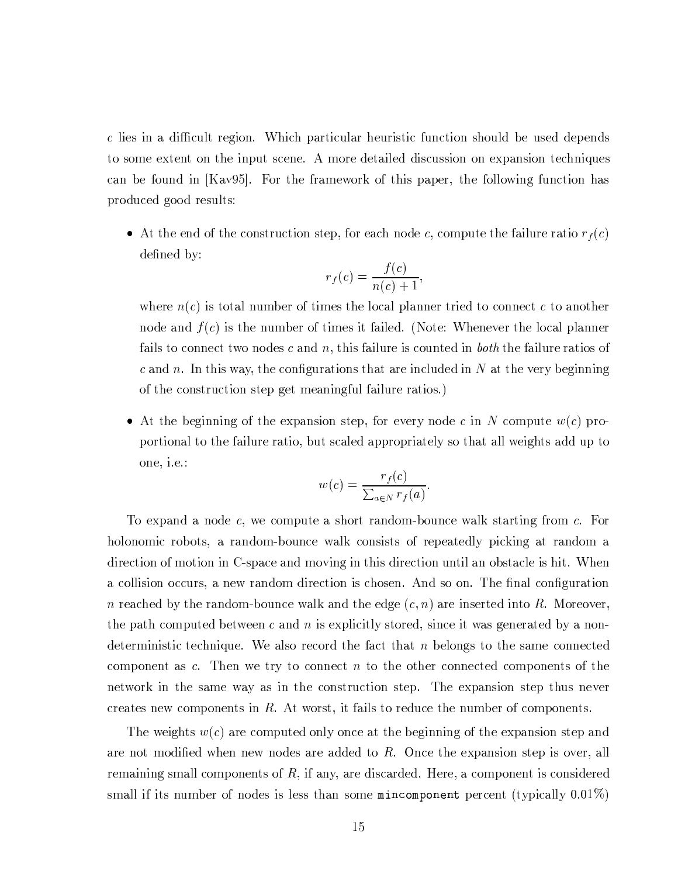c lies in a difficult region. Which particular heuristic function should be used depends to some extent on the input scene. A more detailed discussion on expansion techniques can be found in [Kav95]. For the framework of this paper, the following function has produced good results:

• At the end of the construction step, for each node c, compute the failure ratio  $r_f(c)$ defined by:

$$
r_f(c) = \frac{f(c)}{n(c) + 1},
$$

where  $n(c)$  is total number of times the local planner tried to connect c to another node and  $f(c)$  is the number of times it failed. (Note: Whenever the local planner fails to connect two nodes c and n, this failure is counted in *both* the failure ratios of c and n. In this way, the configurations that are included in N at the very beginning of the construction step get meaningful failure ratios.)

• At the beginning of the expansion step, for every node c in N compute  $w(c)$  proportional to the failure ratio, but scaled appropriately so that all weights add up to one, i.e.:

$$
w(c) = \frac{r_f(c)}{\sum_{a \in N} r_f(a)}.
$$

To expand a node c, we compute a short random-bounce walk starting from c. For holonomic robots, a random-bounce walk consists of repeatedly picking at random a direction of motion in C-space and moving in this direction until an obstacle is hit. When a collision occurs, a new random direction is chosen. And so on. The final configuration *n* reached by the random-bounce walk and the edge  $(c, n)$  are inserted into R. Moreover, the path computed between c and n is explicitly stored, since it was generated by a nondeterministic technique. We also record the fact that  $n$  belongs to the same connected component as c. Then we try to connect n to the other connected components of the network in the same way as in the construction step. The expansion step thus never creates new components in R. At worst, it fails to reduce the number of components.

The weights  $w(c)$  are computed only once at the beginning of the expansion step and are not modified when new nodes are added to  $R$ . Once the expansion step is over, all remaining small components of  $R$ , if any, are discarded. Here, a component is considered small if its number of nodes is less than some mincomponent percent (typically  $0.01\%$ )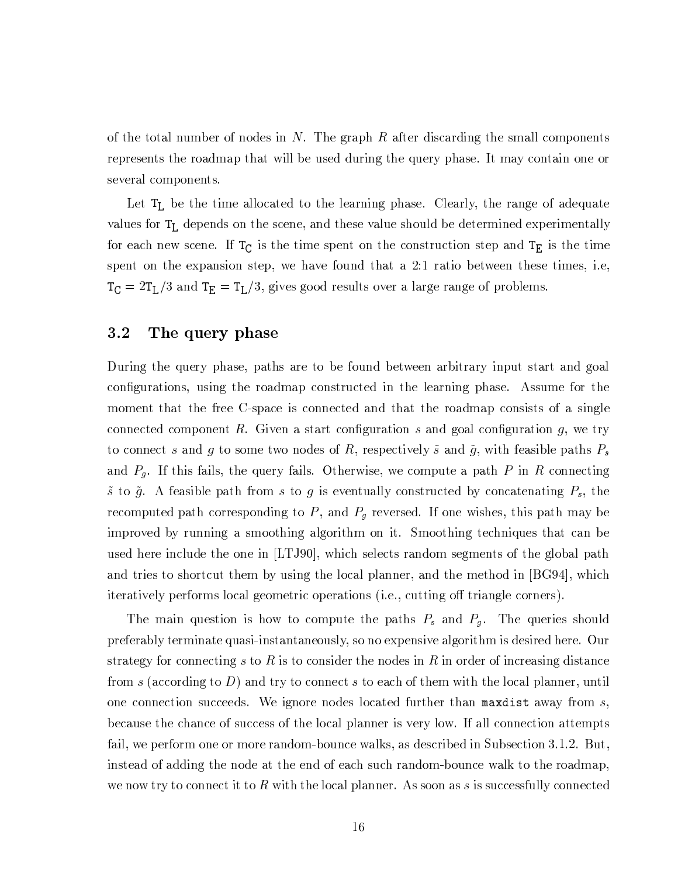of the total number of nodes in  $N$ . The graph  $R$  after discarding the small components represents the roadmap that will be used during the query phase. It may contain one or several components.

Let  $T_L$  be the time allocated to the learning phase. Clearly, the range of adequate values for  $T_L$  depends on the scene, and these value should be determined experimentally for each new scene. If  $\mathtt{T}_\mathtt{C}$  is the time spent on the construction step and  $\mathtt{T}_\mathtt{E}$  is the time spent on the expansion step, we have found that a 2:1 ratio between these times, i.e,  $T_C = 2T_L/3$  and  $T_E = T_L/3$ , gives good results over a large range of problems.

#### $\bf 3.2$ The query phase

During the query phase, paths are to be found between arbitrary input start and goal configurations, using the roadmap constructed in the learning phase. Assume for the moment that the free C-space is connected and that the roadmap consists of a single connected component  $R$ . Given a start configuration  $s$  and goal configuration  $g$ , we try to connect s and g to some two nodes of R, respectively  $\tilde{s}$  and  $\tilde{g}$ , with feasible paths  $P_s$ and  $P_g$ . If this fails, the query fails. Otherwise, we compute a path P in R connecting  $\tilde{s}$  to  $\tilde{g}$ . A feasible path from s to g is eventually constructed by concatenating  $P_s$ , the recomputed path corresponding to  $P$ , and  $P_g$  reversed. If one wishes, this path may be improved by running a smoothing algorithm on it. Smoothing techniques that can be used here include the one in [LTJ90], which selects random segments of the global path and tries to shortcut them by using the local planner, and the method in [BG94], which iteratively performs local geometric operations (i.e., cutting off triangle corners).

The main question is how to compute the paths  $P_s$  and  $P_g$ . The queries should preferably terminate quasi-instantaneously, so no expensive algorithm is desired here. Our strategy for connecting s to R is to consider the nodes in R in order of increasing distance from s (according to D) and try to connect s to each of them with the local planner, until one connection succeeds. We ignore nodes located further than maxdist away from  $s$ , because the chance of success of the local planner is very low. If all connection attempts fail, we perform one or more random-bounce walks, as described in Subsection 3.1.2. But, instead of adding the node at the end of each such random-bounce walk to the roadmap, we now try to connect it to R with the local planner. As soon as s is successfully connected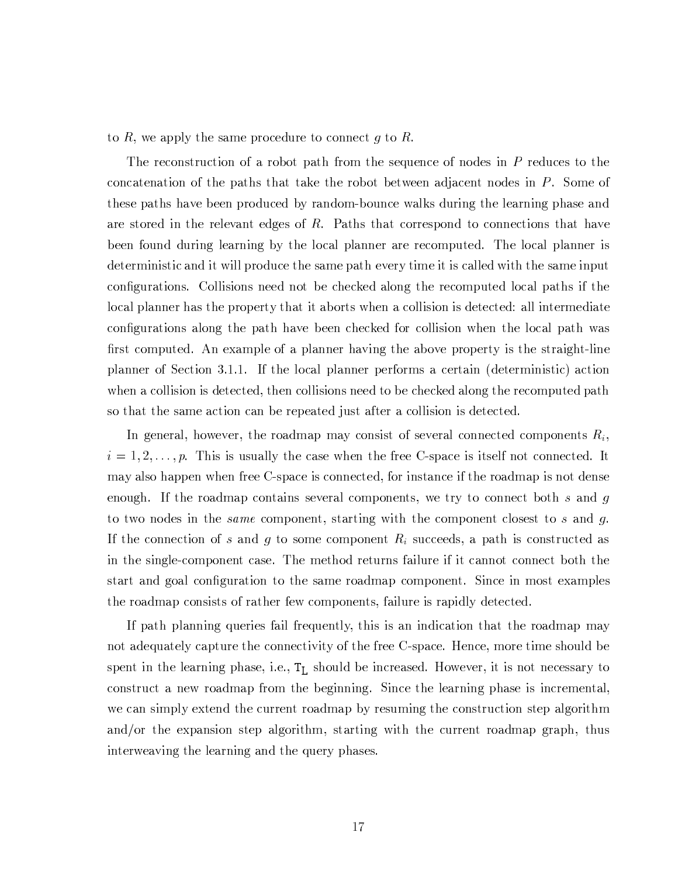to  $R$ , we apply the same procedure to connect g to  $R$ .

The reconstruction of a robot path from the sequence of nodes in P reduces to the concatenation of the paths that take the robot between adjacent nodes in  $P$ . Some of these paths have been produced by random-bounce walks during the learning phase and are stored in the relevant edges of  $R$ . Paths that correspond to connections that have been found during learning by the local planner are recomputed. The local planner is deterministic and it will produce the same path every time it is called with the same input configurations. Collisions need not be checked along the recomputed local paths if the local planner has the property that it aborts when a collision is detected: all intermediate configurations along the path have been checked for collision when the local path was first computed. An example of a planner having the above property is the straight-line planner of Section 3.1.1. If the local planner performs a certain (deterministic) action when a collision is detected, then collisions need to be checked along the recomputed path so that the same action can be repeated just after a collision is detected.

In general, however, the roadmap may consist of several connected components  $R_i$ ,  $i=1,2,\ldots,p$ . This is usually the case when the free C-space is itself not connected. It may also happen when free C-space is connected, for instance if the roadmap is not dense enough. If the roadmap contains several components, we try to connect both s and g to two nodes in the *same* component, starting with the component closest to s and g. If the connection of s and g to some component  $R_i$  succeeds, a path is constructed as in the single-component case. The method returns failure if it cannot connect both the start and goal configuration to the same roadmap component. Since in most examples the roadmap consists of rather few components, failure is rapidly detected.

If path planning queries fail frequently, this is an indication that the roadmap may not adequately capture the connectivity of the free C-space. Hence, more time should be spent in the learning phase, i.e.,  $T_L$  should be increased. However, it is not necessary to construct a new roadmap from the beginning. Since the learning phase is incremental, we can simply extend the current roadmap by resuming the construction step algorithm and/or the expansion step algorithm, starting with the current roadmap graph, thus interweaving the learning and the query phases.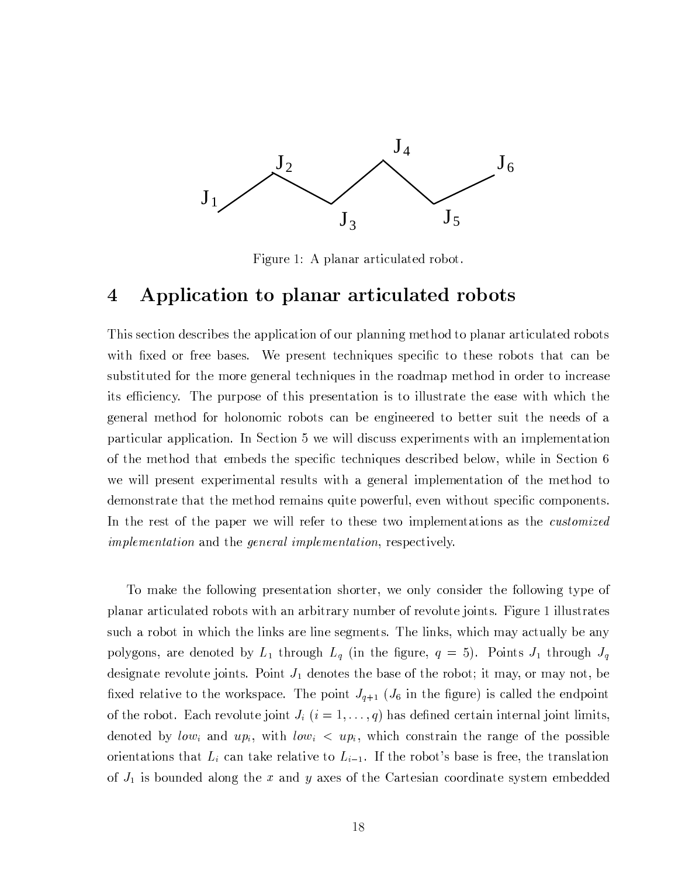

Figure 1: A planar articulated robot.

# Application to planar articulated robots  $\overline{4}$

This section describes the application of our planning method to planar articulated robots with fixed or free bases. We present techniques specific to these robots that can be substituted for the more general techniques in the roadmap method in order to increase its efficiency. The purpose of this presentation is to illustrate the ease with which the general method for holonomic robots can be engineered to better suit the needs of a particular application. In Section 5 we will discuss experiments with an implementation of the method that embeds the specific techniques described below, while in Section 6 we will present experimental results with a general implementation of the method to demonstrate that the method remains quite powerful, even without specific components. In the rest of the paper we will refer to these two implementations as the *customized implementation* and the *general implementation*, respectively.

To make the following presentation shorter, we only consider the following type of planar articulated robots with an arbitrary number of revolute joints. Figure 1 illustrates such a robot in which the links are line segments. The links, which may actually be any polygons, are denoted by  $L_1$  through  $L_q$  (in the figure,  $q = 5$ ). Points  $J_1$  through  $J_q$ designate revolute joints. Point  $J_1$  denotes the base of the robot; it may, or may not, be fixed relative to the workspace. The point  $J_{q+1}$  ( $J_6$  in the figure) is called the endpoint of the robot. Each revolute joint  $J_i$   $(i = 1, \ldots, q)$  has defined certain internal joint limits, denoted by low<sub>i</sub> and  $up_i$ , with low<sub>i</sub>  $\langle up_i,$  which constrain the range of the possible orientations that  $L_i$  can take relative to  $L_{i-1}$ . If the robot's base is free, the translation of  $J_1$  is bounded along the x and y axes of the Cartesian coordinate system embedded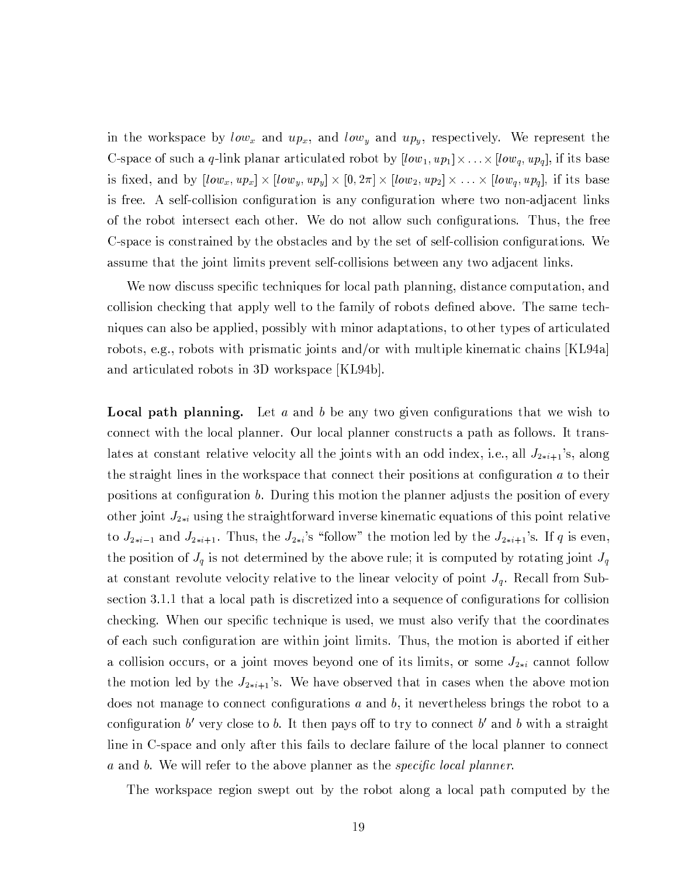in the workspace by  $low_x$  and  $up_x$ , and  $low_y$  and  $up_y$ , respectively. We represent the C-space of such a q-link planar articulated robot by  $[low_1, up_1] \times ... \times [low_q, up_q]$ , if its base is fixed, and by  $[low_x, up_x] \times [low_y, up_y] \times [0, 2\pi] \times [low_2, up_2] \times ... \times [low_q, up_q]$ , if its base is free. A self-collision configuration is any configuration where two non-adjacent links of the robot intersect each other. We do not allow such configurations. Thus, the free C-space is constrained by the obstacles and by the set of self-collision configurations. We assume that the joint limits prevent self-collisions between any two adjacent links.

We now discuss specific techniques for local path planning, distance computation, and collision checking that apply well to the family of robots defined above. The same techniques can also be applied, possibly with minor adaptations, to other types of articulated robots, e.g., robots with prismatic joints and/or with multiple kinematic chains [KL94a] and articulated robots in 3D workspace |KL94b|.

**Local path planning.** Let a and b be any two given configurations that we wish to connect with the local planner. Our local planner constructs a path as follows. It translates at constant relative velocity all the joints with an odd index, i.e., all  $J_{2*i+1}$ 's, along the straight lines in the workspace that connect their positions at configuration  $a$  to their positions at configuration b. During this motion the planner adjusts the position of every other joint  $J_{2*}$  using the straightforward inverse kinematic equations of this point relative to  $J_{2:i-1}$  and  $J_{2:i+1}$ . Thus, the  $J_{2:i}$ 's "follow" the motion led by the  $J_{2:i+1}$ 's. If q is even, the position of  $J_q$  is not determined by the above rule; it is computed by rotating joint  $J_q$ at constant revolute velocity relative to the linear velocity of point  $J_q$ . Recall from Subsection 3.1.1 that a local path is discretized into a sequence of configurations for collision checking. When our specific technique is used, we must also verify that the coordinates of each such configuration are within joint limits. Thus, the motion is aborted if either a collision occurs, or a joint moves beyond one of its limits, or some  $J_{2*i}$  cannot follow the motion led by the  $J_{2+i+1}$ 's. We have observed that in cases when the above motion does not manage to connect configurations  $a$  and  $b$ , it nevertheless brings the robot to a configuration b' very close to b. It then pays off to try to connect b' and b with a straight line in C-space and only after this fails to declare failure of the local planner to connect a and b. We will refer to the above planner as the *specific local planner*.

The workspace region swept out by the robot along a local path computed by the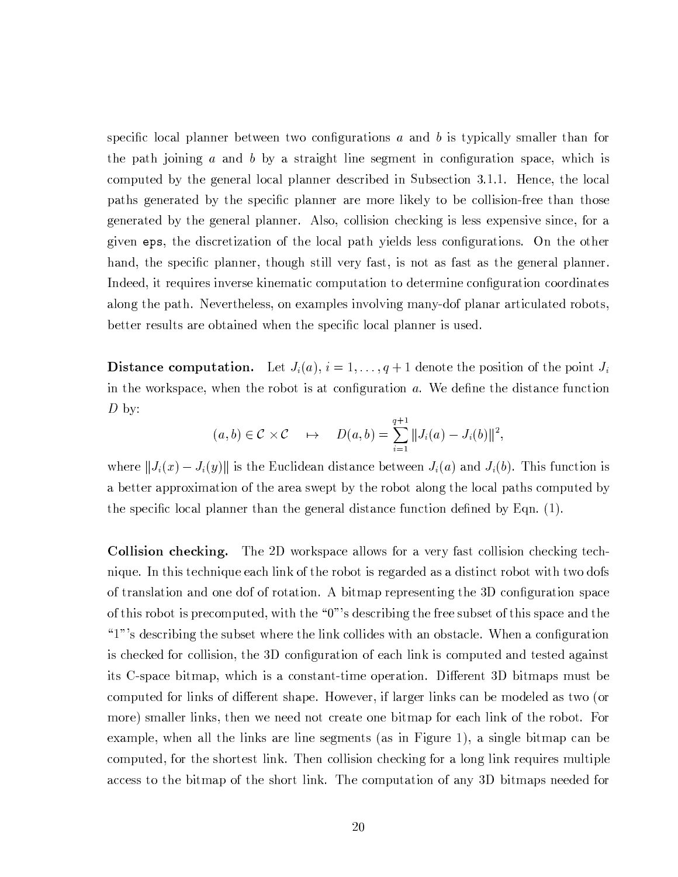specific local planner between two configurations  $a$  and  $b$  is typically smaller than for the path joining  $a$  and  $b$  by a straight line segment in configuration space, which is computed by the general local planner described in Subsection 3.1.1. Hence, the local paths generated by the specific planner are more likely to be collision-free than those generated by the general planner. Also, collision checking is less expensive since, for a given eps, the discretization of the local path yields less configurations. On the other hand, the specific planner, though still very fast, is not as fast as the general planner. Indeed, it requires inverse kinematic computation to determine configuration coordinates along the path. Nevertheless, on examples involving many-dof planar articulated robots, better results are obtained when the specific local planner is used.

**Distance computation.** Let  $J_i(a)$ ,  $i = 1, ..., q+1$  denote the position of the point  $J_i$ in the workspace, when the robot is at configuration  $a$ . We define the distance function  $D\;{\rm bv}$ 

$$
(a,b) \in \mathcal{C} \times \mathcal{C} \quad \mapsto \quad D(a,b) = \sum_{i=1}^{q+1} ||J_i(a) - J_i(b)||^2,
$$

where  $||J_i(x) - J_i(y)||$  is the Euclidean distance between  $J_i(a)$  and  $J_i(b)$ . This function is a better approximation of the area swept by the robot along the local paths computed by the specific local planner than the general distance function defined by Eqn.  $(1)$ .

Collision checking. The 2D workspace allows for a very fast collision checking technique. In this technique each link of the robot is regarded as a distinct robot with two dofs of translation and one dof of rotation. A bitmap representing the 3D configuration space of this robot is precomputed, with the " $0$ "'s describing the free subset of this space and the "1"'s describing the subset where the link collides with an obstacle. When a configuration is checked for collision, the 3D configuration of each link is computed and tested against its C-space bitmap, which is a constant-time operation. Different 3D bitmaps must be computed for links of different shape. However, if larger links can be modeled as two (or more) smaller links, then we need not create one bitmap for each link of the robot. For example, when all the links are line segments (as in Figure 1), a single bitmap can be computed, for the shortest link. Then collision checking for a long link requires multiple access to the bitmap of the short link. The computation of any 3D bitmaps needed for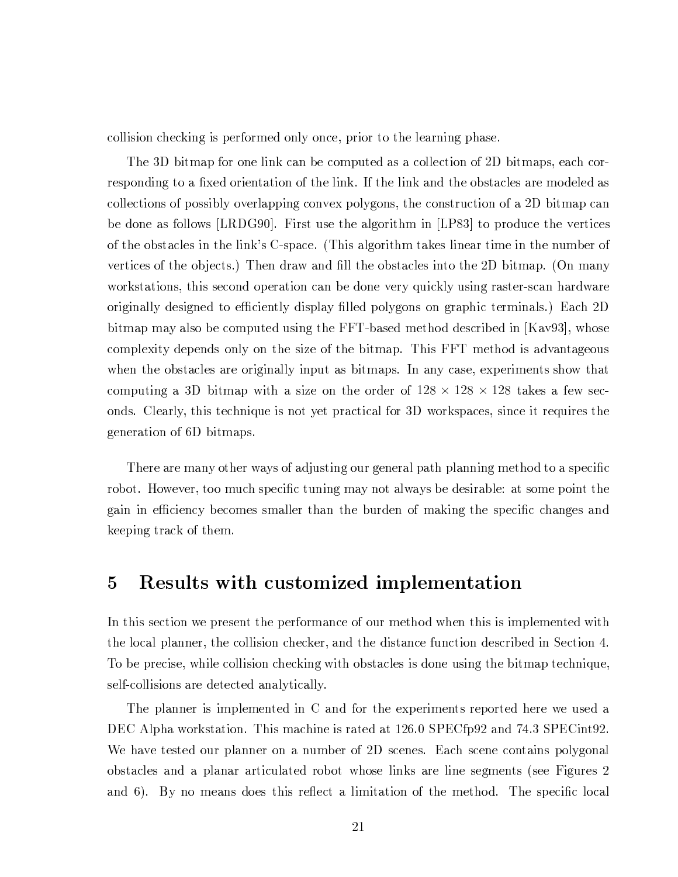collision checking is performed only once, prior to the learning phase.

The 3D bitmap for one link can be computed as a collection of 2D bitmaps, each corresponding to a fixed orientation of the link. If the link and the obstacles are modeled as collections of possibly overlapping convex polygons, the construction of a 2D bitmap can be done as follows [LRDG90]. First use the algorithm in [LP83] to produce the vertices of the obstacles in the link's C-space. (This algorithm takes linear time in the number of vertices of the objects.) Then draw and fill the obstacles into the 2D bitmap. (On many workstations, this second operation can be done very quickly using raster-scan hardware originally designed to efficiently display filled polygons on graphic terminals.) Each 2D bitmap may also be computed using the FFT-based method described in [Kav93], whose complexity depends only on the size of the bitmap. This FFT method is advantageous when the obstacles are originally input as bitmaps. In any case, experiments show that computing a 3D bitmap with a size on the order of  $128 \times 128 \times 128$  takes a few seconds. Clearly, this technique is not yet practical for 3D workspaces, since it requires the generation of 6D bitmaps.

There are many other ways of adjusting our general path planning method to a specific robot. However, too much specific tuning may not always be desirable: at some point the gain in efficiency becomes smaller than the burden of making the specific changes and keeping track of them.

#### Results with customized implementation 5

In this section we present the performance of our method when this is implemented with the local planner, the collision checker, and the distance function described in Section 4. To be precise, while collision checking with obstacles is done using the bitmap technique, self-collisions are detected analytically.

The planner is implemented in C and for the experiments reported here we used a DEC Alpha workstation. This machine is rated at 126.0 SPECfp92 and 74.3 SPECint92. We have tested our planner on a number of 2D scenes. Each scene contains polygonal obstacles and a planar articulated robot whose links are line segments (see Figures 2) and 6). By no means does this reflect a limitation of the method. The specific local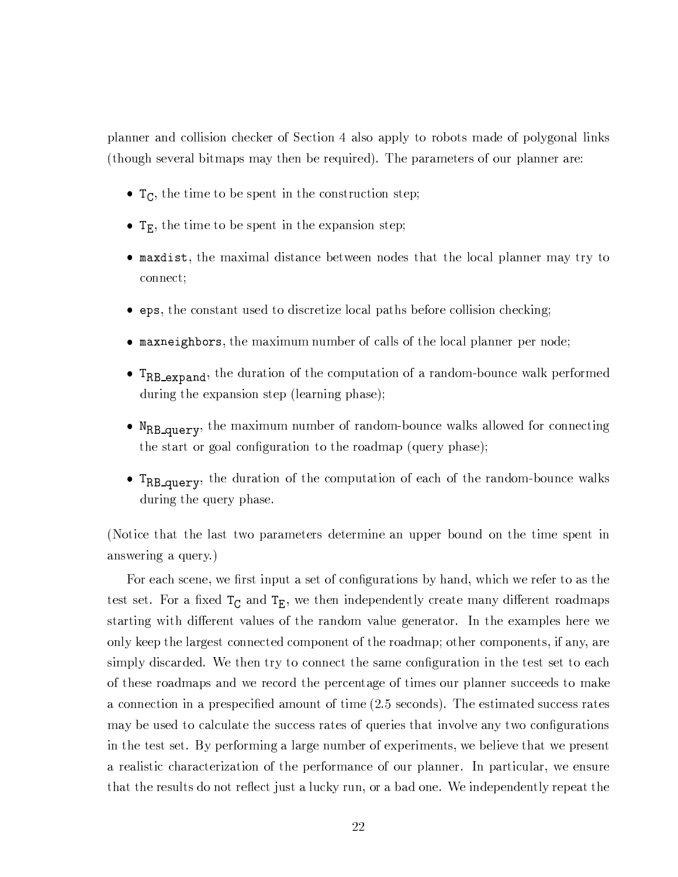planner and collision checker of Section 4 also apply to robots made of polygonal links (though several bitmaps may then be required). The parameters of our planner are:

- $\bullet$  T<sub>C</sub>, the time to be spent in the construction step;
- $\bullet$  T<sub>E</sub>, the time to be spent in the expansion step;
- maxdist, the maximal distance between nodes that the local planner may try to connect;
- eps, the constant used to discretize local paths before collision checking;
- maxneighbors, the maximum number of calls of the local planner per node;
- TRE\_expand, the duration of the computation of a random-bounce walk performed during the expansion step (learning phase);
- $\bullet$  N<sub>RB</sub><sub>query</sub>, the maximum number of random-bounce walks allowed for connecting the start or goal configuration to the roadmap (query phase);
- TRB\_query, the duration of the computation of each of the random-bounce walks during the query phase.

(Notice that the last two parameters determine an upper bound on the time spent in answering a query.)

For each scene, we first input a set of configurations by hand, which we refer to as the test set. For a fixed  $T_C$  and  $T_E$ , we then independently create many different roadmaps starting with different values of the random value generator. In the examples here we only keep the largest connected component of the roadmap; other components, if any, are simply discarded. We then try to connect the same configuration in the test set to each of these roadmaps and we record the percentage of times our planner succeeds to make a connection in a prespecified amount of time (2.5 seconds). The estimated success rates may be used to calculate the success rates of queries that involve any two configurations in the test set. By performing a large number of experiments, we believe that we present a realistic characterization of the performance of our planner. In particular, we ensure that the results do not reflect just a lucky run, or a bad one. We independently repeat the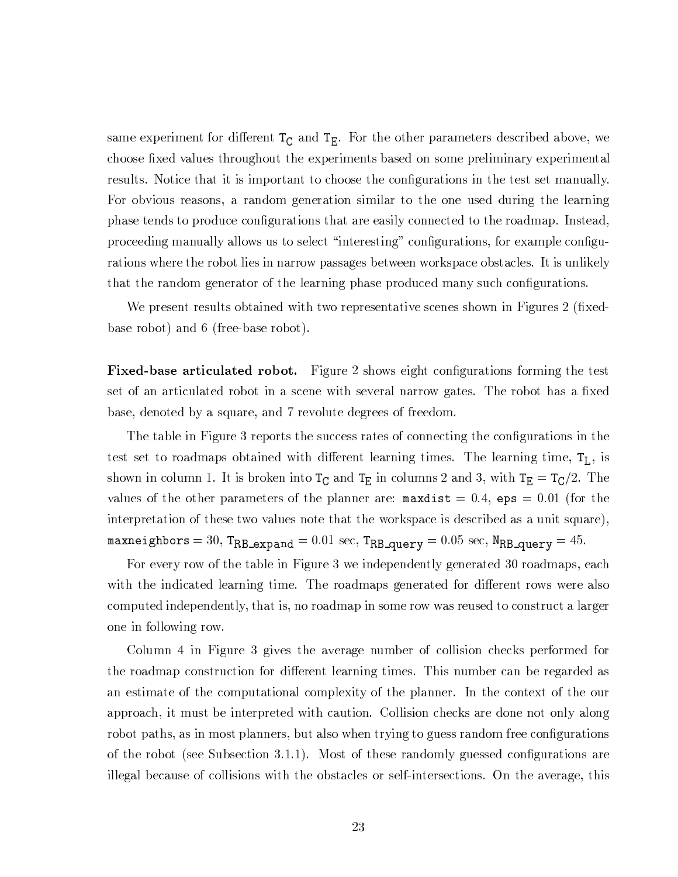same experiment for different  $T_C$  and  $T_E$ . For the other parameters described above, we choose fixed values throughout the experiments based on some preliminary experimental results. Notice that it is important to choose the configurations in the test set manually. For obvious reasons, a random generation similar to the one used during the learning phase tends to produce configurations that are easily connected to the roadmap. Instead, proceeding manually allows us to select "interesting" configurations, for example configurations where the robot lies in narrow passages between workspace obstacles. It is unlikely that the random generator of the learning phase produced many such configurations.

We present results obtained with two representative scenes shown in Figures 2 (fixedbase robot) and 6 (free-base robot).

**Fixed-base articulated robot.** Figure 2 shows eight configurations forming the test set of an articulated robot in a scene with several narrow gates. The robot has a fixed base, denoted by a square, and 7 revolute degrees of freedom.

The table in Figure 3 reports the success rates of connecting the configurations in the test set to roadmaps obtained with different learning times. The learning time,  $T_L$ , is shown in column 1. It is broken into  $T_C$  and  $T_E$  in columns 2 and 3, with  $T_E = T_C/2$ . The values of the other parameters of the planner are: maxdist = 0.4, eps = 0.01 (for the interpretation of these two values note that the workspace is described as a unit square), maxneighbors = 30,  $T_{RB\text{-expand}} = 0.01 \text{ sec}$ ,  $T_{RB\text{-query}} = 0.05 \text{ sec}$ ,  $N_{RB\text{-query}} = 45$ .

For every row of the table in Figure 3 we independently generated 30 roadmaps, each with the indicated learning time. The roadmaps generated for different rows were also computed independently, that is, no roadmap in some row was reused to construct a larger one in following row.

Column 4 in Figure 3 gives the average number of collision checks performed for the roadmap construction for different learning times. This number can be regarded as an estimate of the computational complexity of the planner. In the context of the our approach, it must be interpreted with caution. Collision checks are done not only along robot paths, as in most planners, but also when trying to guess random free configurations of the robot (see Subsection 3.1.1). Most of these randomly guessed configurations are illegal because of collisions with the obstacles or self-intersections. On the average, this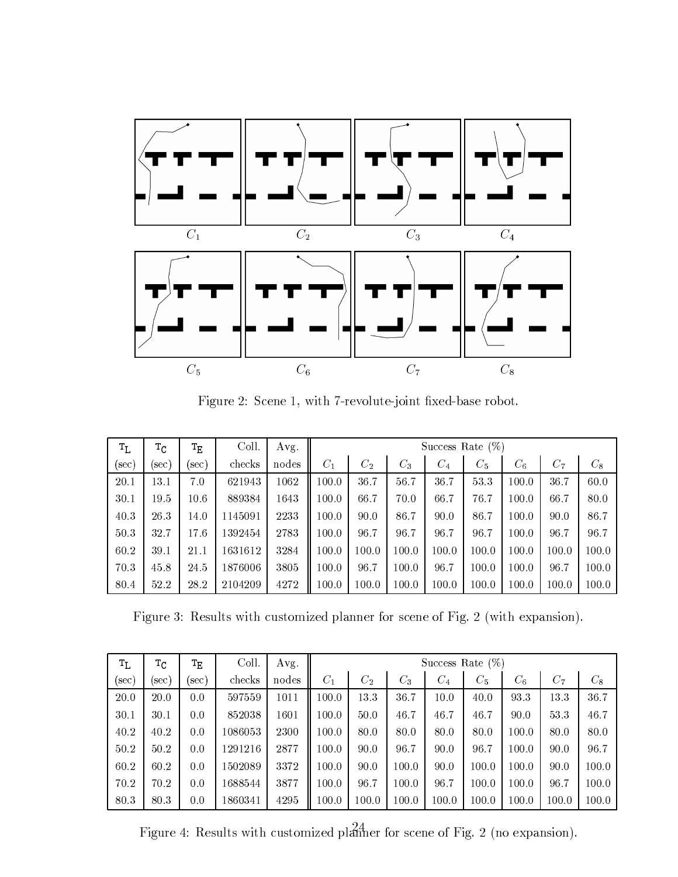

Figure 2: Scene 1, with 7-revolute-joint fixed-base robot.

| $T_{\rm L}$ | $T_{\rm C}$ | $\mathrm{T}_{\mathrm{E}}$ | Coll.   | Avg.  | Success Rate $(\%)$ |                |         |       |       |       |       |         |
|-------------|-------------|---------------------------|---------|-------|---------------------|----------------|---------|-------|-------|-------|-------|---------|
| $(\sec)$    | 'sec)       | (sec)                     | checks  | nodes | $C_1$               | C <sub>2</sub> | $C_{3}$ | $C_4$ | $C_5$ | $C_6$ | $C_7$ | $C_{8}$ |
| 20.1        | 13.1        | 7.0                       | 621943  | 1062  | 100.0               | 36.7           | 56.7    | 36.7  | 53.3  | 100.0 | 36.7  | 60.0    |
| 30.1        | 19.5        | 10.6                      | 889384  | 1643  | 100.0               | 66.7           | 70.0    | 66.7  | 76.7  | 100.0 | 66.7  | 80.0    |
| 40.3        | 26.3        | 14.0                      | 1145091 | 2233  | 100.0               | 90.0           | 86.7    | 90.0  | 86.7  | 100.0 | 90.0  | 86.7    |
| 50.3        | 32.7        | 17.6                      | 1392454 | 2783  | 100.0               | 96.7           | 96.7    | 96.7  | 96.7  | 100.0 | 96.7  | 96.7    |
| 60.2        | 39.1        | 21.1                      | 1631612 | 3284  | 100.0               | 100.0          | 100.0   | 100.0 | 100.0 | 100.0 | 100.0 | 100.0   |
| 70.3        | 45.8        | 24.5                      | 1876006 | 3805  | 100.0               | 96.7           | 100.0   | 96.7  | 100.0 | 100.0 | 96.7  | 100.0   |
| 80.4        | 52.2        | 28.2                      | 2104209 | 4272  | 100.0               | 100.0          | 100.0   | 100.0 | 100.0 | 100.0 | 100.0 | 100.0   |

Figure 3: Results with customized planner for scene of Fig. 2 (with expansion).

| $\rm T_{L}$ | $T_C$ | TE    | Coll.   | Avg.  | Success Rate $(\%)$ |         |       |         |       |       |       |         |
|-------------|-------|-------|---------|-------|---------------------|---------|-------|---------|-------|-------|-------|---------|
| (sec)       | (sec) | (sec) | checks  | nodes | $C_1$               | $C_{2}$ | $C_3$ | $C_{4}$ | $C_5$ | $C_6$ | $C_7$ | $C_{8}$ |
| 20.0        | 20.0  | 0.0   | 597559  | 1011  | 100.0               | 13.3    | 36.7  | 10.0    | 40.0  | 93.3  | 13.3  | 36.7    |
| 30.1        | 30.1  | 0.0   | 852038  | 1601  | 100.0               | 50.0    | 46.7  | 46.7    | 46.7  | 90.0  | 53.3  | 46.7    |
| 40.2        | 40.2  | 0.0   | 1086053 | 2300  | 100.0               | 80.0    | 80.0  | 80.0    | 80.0  | 100.0 | 80.0  | 80.0    |
| 50.2        | 50.2  | 0.0   | 1291216 | 2877  | 100.0               | 90.0    | 96.7  | 90.0    | 96.7  | 100.0 | 90.0  | 96.7    |
| 60.2        | 60.2  | 0.0   | 1502089 | 3372  | 100.0               | 90.0    | 100.0 | 90.0    | 100.0 | 100.0 | 90.0  | 100.0   |
| 70.2        | 70.2  | 0.0   | 1688544 | 3877  | 100.0               | 96.7    | 100.0 | 96.7    | 100.0 | 100.0 | 96.7  | 100.0   |
| 80.3        | 80.3  | 0.0   | 1860341 | 4295  | 100.0               | 100.0   | 100.0 | 100.0   | 100.0 | 100.0 | 100.0 | 100.0   |

Figure 4: Results with customized planner for scene of Fig. 2 (no expansion).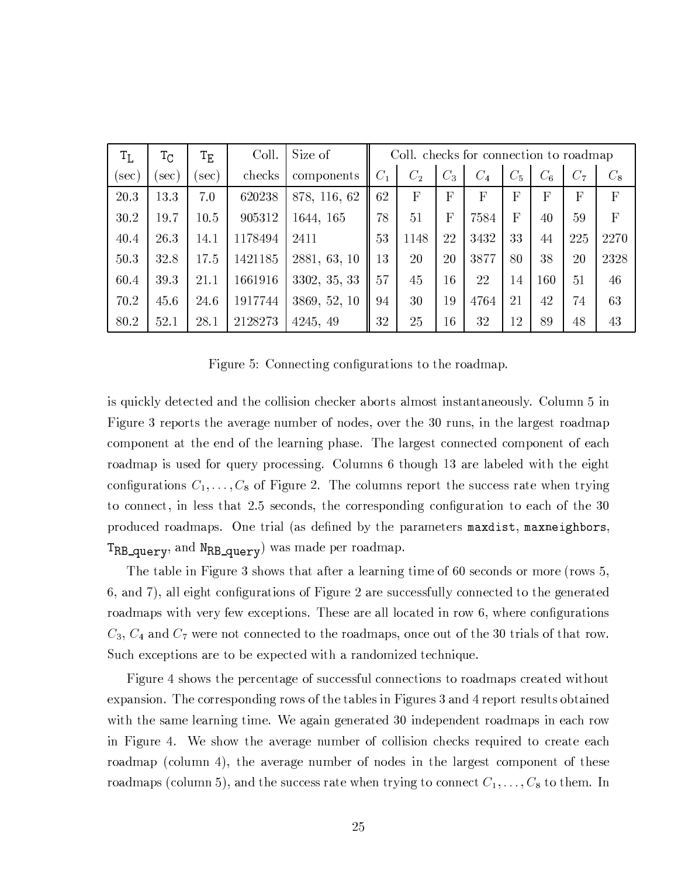| $\mathbf{T}_{\mathrm{L}}$ | $T_C$    | $\mathrm{T}_{\mathrm{E}}$ | Coll.   | Size of      | Coll. checks for connection to roadmap |              |            |              |              |              |       |             |
|---------------------------|----------|---------------------------|---------|--------------|----------------------------------------|--------------|------------|--------------|--------------|--------------|-------|-------------|
| $(\sec)$                  | $(\sec)$ | $\left( \sec \right)$     | checks  | components   | $C_1$                                  | $C_2$        | $C_{3}$    | $C_{4}$      | $C_{5}$      | $C_{6}$      | $C_7$ | $C_8$       |
| 20.3                      | 13.3     | 7.0                       | 620238  | 878, 116, 62 | 62                                     | $\mathbf{F}$ | $_{\rm F}$ | $\mathbf{F}$ | F            | $\mathbf{F}$ | F     | $\mathbf F$ |
| 30.2                      | 19.7     | 10.5                      | 905312  | 1644, 165    | 78                                     | 51           | F          | 7584         | $\mathbf{F}$ | 40           | 59    | $_{\rm F}$  |
| 40.4                      | 26.3     | 14.1                      | 1178494 | 2411         | 53                                     | 1148         | 22         | 3432         | 33           | 44           | 225   | 2270        |
| 50.3                      | 32.8     | 17.5                      | 1421185 | 2881, 63, 10 | 13                                     | 20           | 20         | 3877         | 80           | 38           | 20    | 2328        |
| 60.4                      | 39.3     | 21.1                      | 1661916 | 3302, 35, 33 | 57                                     | 45           | 16         | 22           | 14           | 160          | 51    | 46          |
| 70.2                      | 45.6     | 24.6                      | 1917744 | 3869, 52, 10 | 94                                     | 30           | 19         | 4764         | 21           | 42           | 74    | 63          |
| 80.2                      | 52.1     | 28.1                      | 2128273 | 4245, 49     | 32                                     | 25           | 16         | 32           | 12           | 89           | 48    | 43          |

Figure 5: Connecting configurations to the roadmap.

is quickly detected and the collision checker aborts almost instantaneously. Column 5 in Figure 3 reports the average number of nodes, over the 30 runs, in the largest roadmap component at the end of the learning phase. The largest connected component of each roadmap is used for query processing. Columns 6 though 13 are labeled with the eight configurations  $C_1, \ldots, C_8$  of Figure 2. The columns report the success rate when trying to connect, in less that 2.5 seconds, the corresponding configuration to each of the 30 produced roadmaps. One trial (as defined by the parameters maxdist, maxneighbors,  $T_{RB\_\text{query}},$  and  $N_{RB\_\text{query}}$  was made per roadmap.

The table in Figure 3 shows that after a learning time of 60 seconds or more (rows 5, 6, and 7), all eight configurations of Figure 2 are successfully connected to the generated roadmaps with very few exceptions. These are all located in row 6, where configurations  $C_3, C_4$  and  $C_7$  were not connected to the roadmaps, once out of the 30 trials of that row. Such exceptions are to be expected with a randomized technique.

Figure 4 shows the percentage of successful connections to roadmaps created without expansion. The corresponding rows of the tables in Figures 3 and 4 report results obtained with the same learning time. We again generated 30 independent roadmaps in each row in Figure 4. We show the average number of collision checks required to create each roadmap (column 4), the average number of nodes in the largest component of these roadmaps (column 5), and the success rate when trying to connect  $C_1, \ldots, C_8$  to them. In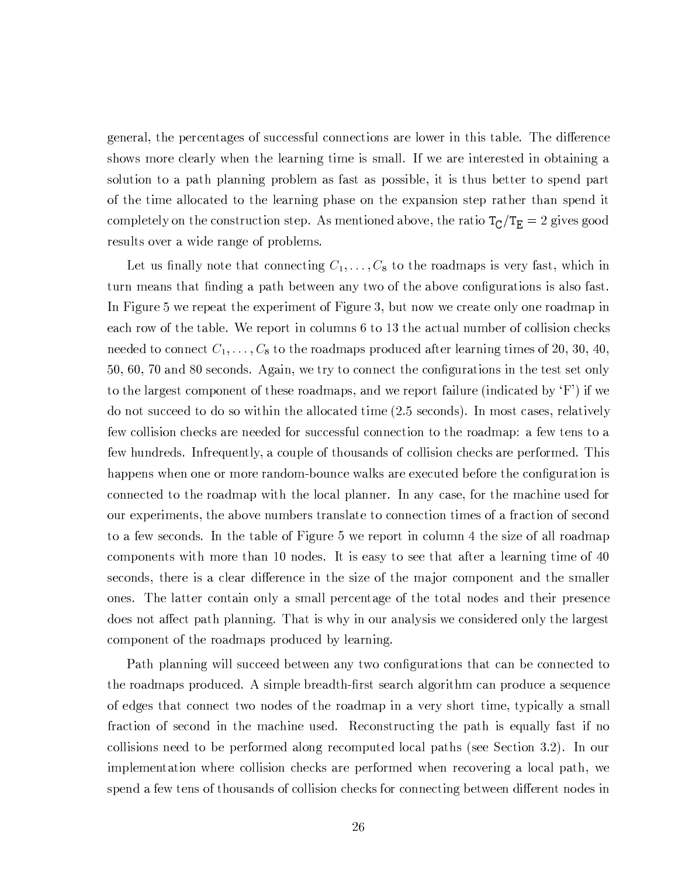general, the percentages of successful connections are lower in this table. The difference shows more clearly when the learning time is small. If we are interested in obtaining a solution to a path planning problem as fast as possible, it is thus better to spend part of the time allocated to the learning phase on the expansion step rather than spend it completely on the construction step. As mentioned above, the ratio  $T_C/T_E = 2$  gives good results over a wide range of problems.

Let us finally note that connecting  $C_1, \ldots, C_8$  to the roadmaps is very fast, which in turn means that finding a path between any two of the above configurations is also fast. In Figure 5 we repeat the experiment of Figure 3, but now we create only one roadmap in each row of the table. We report in columns 6 to 13 the actual number of collision checks needed to connect  $C_1, \ldots, C_8$  to the roadmaps produced after learning times of 20, 30, 40, 50, 60, 70 and 80 seconds. Again, we try to connect the configurations in the test set only to the largest component of these roadmaps, and we report failure (indicated by 'F') if we do not succeed to do so within the allocated time (2.5 seconds). In most cases, relatively few collision checks are needed for successful connection to the roadmap: a few tens to a few hundreds. Infrequently, a couple of thousands of collision checks are performed. This happens when one or more random-bounce walks are executed before the configuration is connected to the roadmap with the local planner. In any case, for the machine used for our experiments, the above numbers translate to connection times of a fraction of second to a few seconds. In the table of Figure 5 we report in column 4 the size of all roadmap components with more than 10 nodes. It is easy to see that after a learning time of 40 seconds, there is a clear difference in the size of the major component and the smaller ones. The latter contain only a small percentage of the total nodes and their presence does not affect path planning. That is why in our analysis we considered only the largest component of the roadmaps produced by learning.

Path planning will succeed between any two configurations that can be connected to the roadmaps produced. A simple breadth-first search algorithm can produce a sequence of edges that connect two nodes of the roadmap in a very short time, typically a small fraction of second in the machine used. Reconstructing the path is equally fast if no collisions need to be performed along recomputed local paths (see Section 3.2). In our implementation where collision checks are performed when recovering a local path, we spend a few tens of thousands of collision checks for connecting between different nodes in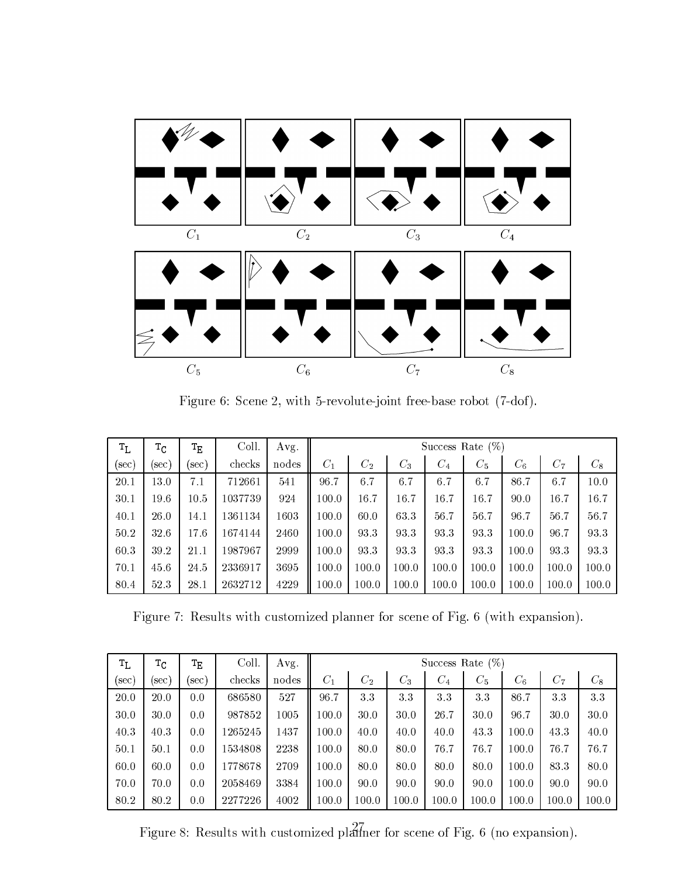

Figure 6: Scene 2, with 5-revolute-joint free-base robot (7-dof).

| $T_{\rm L}$ | $T_C$ | $T_{\rm E}$ | Coll.   | Avg.  |       | Success Rate $(\%)$ |         |       |       |       |       |         |
|-------------|-------|-------------|---------|-------|-------|---------------------|---------|-------|-------|-------|-------|---------|
| $(\sec)$    | sec)  | $(\sec)$    | checks  | nodes | $C_1$ | C <sub>2</sub>      | $C_{3}$ | $C_4$ | $C_5$ | $C_6$ | $C_7$ | $C_{8}$ |
| 20.1        | 13.0  | $7.1\,$     | 712661  | 541   | 96.7  | 6.7                 | 6.7     | 6.7   | 6.7   | 86.7  | 6.7   | 10.0    |
| 30.1        | 19.6  | 10.5        | 1037739 | 924   | 100.0 | 16.7                | 16.7    | 16.7  | 16.7  | 90.0  | 16.7  | 16.7    |
| 40.1        | 26.0  | 14.1        | 1361134 | 1603  | 100.0 | 60.0                | 63.3    | 56.7  | 56.7  | 96.7  | 56.7  | 56.7    |
| 50.2        | 32.6  | 17.6        | 1674144 | 2460  | 100.0 | 93.3                | 93.3    | 93.3  | 93.3  | 100.0 | 96.7  | 93.3    |
| 60.3        | 39.2  | 21.1        | 1987967 | 2999  | 100.0 | 93.3                | 933     | 93.3  | 93.3  | 100.0 | 93.3  | 93.3    |
| 70.1        | 45.6  | 24.5        | 2336917 | 3695  | 100.0 | 100.0               | 100.0   | 100.0 | 100.0 | 100.0 | 100.0 | 100.0   |
| 80.4        | 52.3  | 28.1        | 2632712 | 4229  | 100.0 | 100.0               | 100.0   | 100.0 | 100.0 | 100.0 | 100.0 | 100.0   |

Figure 7: Results with customized planner for scene of Fig. 6 (with expansion).

| $\mathbf{T}_\mathrm{L}$ | Тc       | TE    | Coll.   | Avg.  | Success Rate $(\%)$ |         |       |         |       |       |       |         |
|-------------------------|----------|-------|---------|-------|---------------------|---------|-------|---------|-------|-------|-------|---------|
| (sec)                   | $(\sec)$ | (sec) | checks  | nodes | $C_1$               | $C_{2}$ | $C_3$ | $C_{4}$ | $C_5$ | $C_6$ | $C_7$ | $C_{8}$ |
| 20.0                    | 20.0     | 0.0   | 686580  | 527   | 96.7                | 3.3     | 3.3   | 3.3     | 3.3   | 86.7  | 3.3   | 3.3     |
| 30.0                    | 30.0     | 0.0   | 987852  | 1005  | 100.0               | 30.0    | 30.0  | 26.7    | 30.0  | 96.7  | 30.0  | 30.0    |
| 40.3                    | 40.3     | 0.0   | 1265245 | 1437  | 100.0               | 40.0    | 40.0  | 40.0    | 43.3  | 100.0 | 43.3  | 40.0    |
| 50.1                    | 50.1     | 0.0   | 1534808 | 2238  | 100.0               | 80.0    | 80.0  | 76.7    | 76.7  | 100.0 | 76.7  | 76.7    |
| 60.0                    | 60.0     | 0.0   | 1778678 | 2709  | 100.0               | 80.0    | 80.0  | 80.0    | 80.0  | 100.0 | 83.3  | 80.0    |
| 70.0                    | 70.0     | 0.0   | 2058469 | 3384  | 100.0               | 90.0    | 90.0  | 90.0    | 90.0  | 100.0 | 90.0  | 90.0    |
| 80.2                    | 80.2     | 0.0   | 2277226 | 4002  | 100.0               | 100.0   | 100.0 | 100.0   | 100.0 | 100.0 | 100.0 | 100.0   |

Figure 8: Results with customized planner for scene of Fig. 6 (no expansion).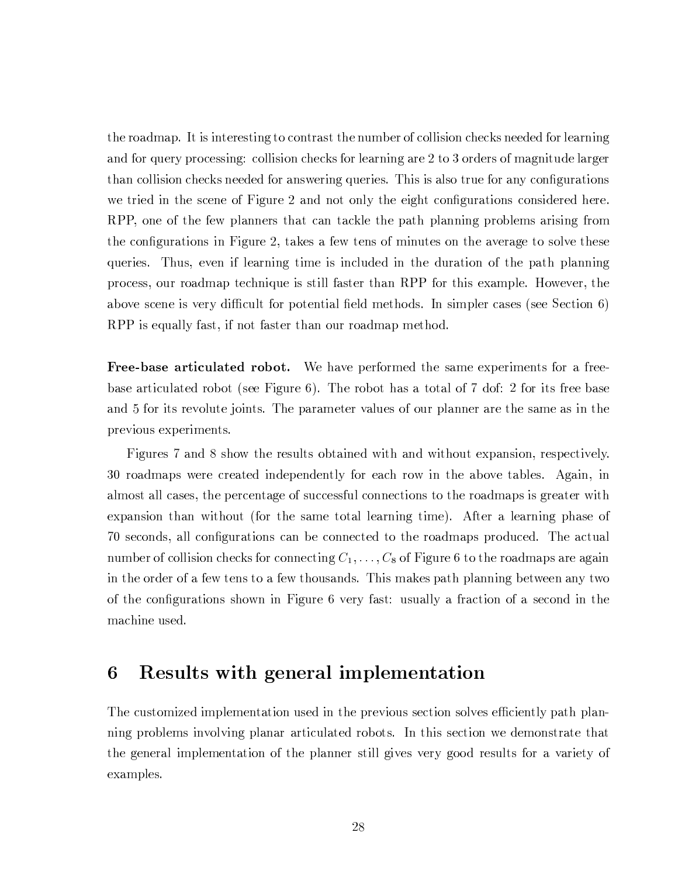the roadmap. It is interesting to contrast the number of collision checks needed for learning and for query processing: collision checks for learning are 2 to 3 orders of magnitude larger than collision checks needed for answering queries. This is also true for any configurations we tried in the scene of Figure 2 and not only the eight configurations considered here. RPP, one of the few planners that can tackle the path planning problems arising from the configurations in Figure 2, takes a few tens of minutes on the average to solve these queries. Thus, even if learning time is included in the duration of the path planning process, our roadmap technique is still faster than RPP for this example. However, the above scene is very difficult for potential field methods. In simpler cases (see Section 6) RPP is equally fast, if not faster than our roadmap method.

**Free-base articulated robot.** We have performed the same experiments for a freebase articulated robot (see Figure 6). The robot has a total of 7 dof: 2 for its free base and 5 for its revolute joints. The parameter values of our planner are the same as in the previous experiments.

Figures 7 and 8 show the results obtained with and without expansion, respectively. 30 roadmaps were created independently for each row in the above tables. Again, in almost all cases, the percentage of successful connections to the roadmaps is greater with expansion than without (for the same total learning time). After a learning phase of 70 seconds, all configurations can be connected to the roadmaps produced. The actual number of collision checks for connecting  $C_1, \ldots, C_8$  of Figure 6 to the roadmaps are again in the order of a few tens to a few thousands. This makes path planning between any two of the configurations shown in Figure 6 very fast: usually a fraction of a second in the machine used.

# Results with general implementation 6

The customized implementation used in the previous section solves efficiently path planning problems involving planar articulated robots. In this section we demonstrate that the general implementation of the planner still gives very good results for a variety of examples.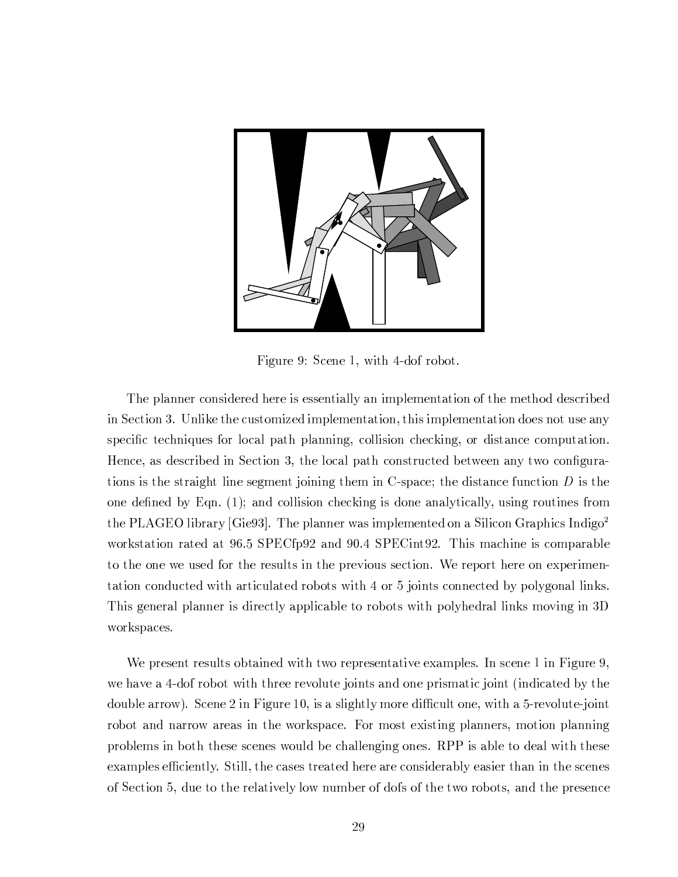

Figure 9: Scene 1, with 4-dof robot.

The planner considered here is essentially an implementation of the method described in Section 3. Unlike the customized implementation, this implementation does not use any specific techniques for local path planning, collision checking, or distance computation. Hence, as described in Section 3, the local path constructed between any two configurations is the straight line segment joining them in C-space; the distance function  $D$  is the one defined by Eqn.  $(1)$ ; and collision checking is done analytically, using routines from the PLAGEO library [Gie93]. The planner was implemented on a Silicon Graphics Indigo<sup>2</sup> workstation rated at 96.5 SPECfp92 and 90.4 SPECint92. This machine is comparable to the one we used for the results in the previous section. We report here on experimentation conducted with articulated robots with 4 or 5 joints connected by polygonal links. This general planner is directly applicable to robots with polyhedral links moving in 3D workspaces.

We present results obtained with two representative examples. In scene 1 in Figure 9, we have a 4-dof robot with three revolute joints and one prismatic joint (indicated by the double arrow). Scene 2 in Figure 10, is a slightly more difficult one, with a 5-revolute-joint robot and narrow areas in the workspace. For most existing planners, motion planning problems in both these scenes would be challenging ones. RPP is able to deal with these examples efficiently. Still, the cases treated here are considerably easier than in the scenes of Section 5, due to the relatively low number of dofs of the two robots, and the presence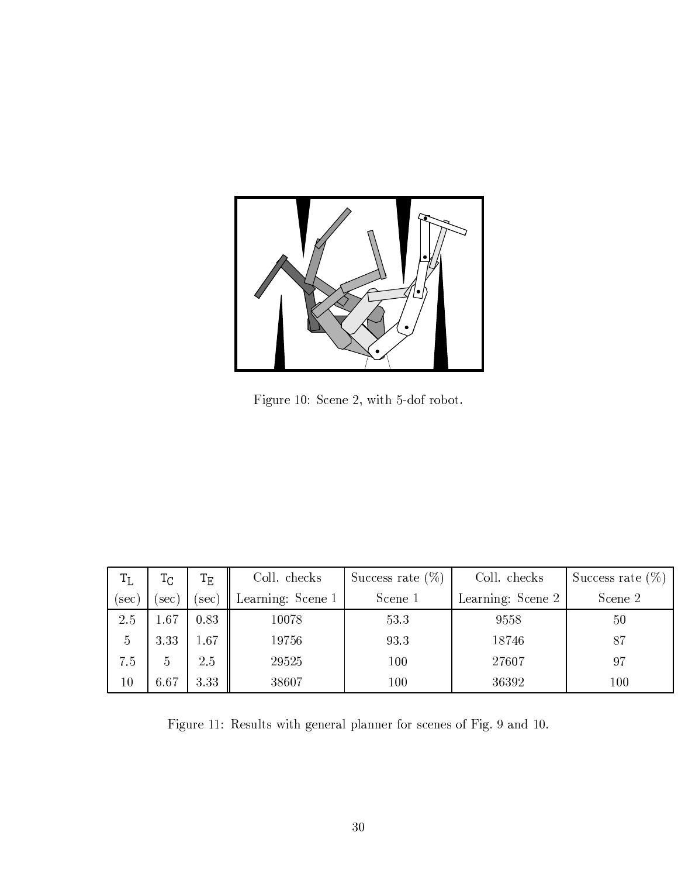

Figure 10: Scene 2, with 5-dof robot.

| $T_{\rm L}$ | $\mathrm{T_{C}}$ | ΤE    | Coll. checks      | Success rate $(\%)$ | Coll. checks      | Success rate $(\%)$ |
|-------------|------------------|-------|-------------------|---------------------|-------------------|---------------------|
| sec         | sec ]            | [sec] | Learning: Scene 1 | Scene 1             | Learning: Scene 2 | Scene 2             |
| 2.5         | .67              | 0.83  | 10078             | 53.3                | 9558              | 50                  |
| 5           | 3.33             | 1.67  | 19756             | 93.3                | 18746             | 87                  |
| 7.5         | 5                | 2.5   | 29525             | 100                 | 27607             | 97                  |
| 10          | 6.67             | 3.33  | 38607             | $100\,$             | 36392             | 100                 |

Figure 11: Results with general planner for scenes of Fig. 9 and 10.  $\,$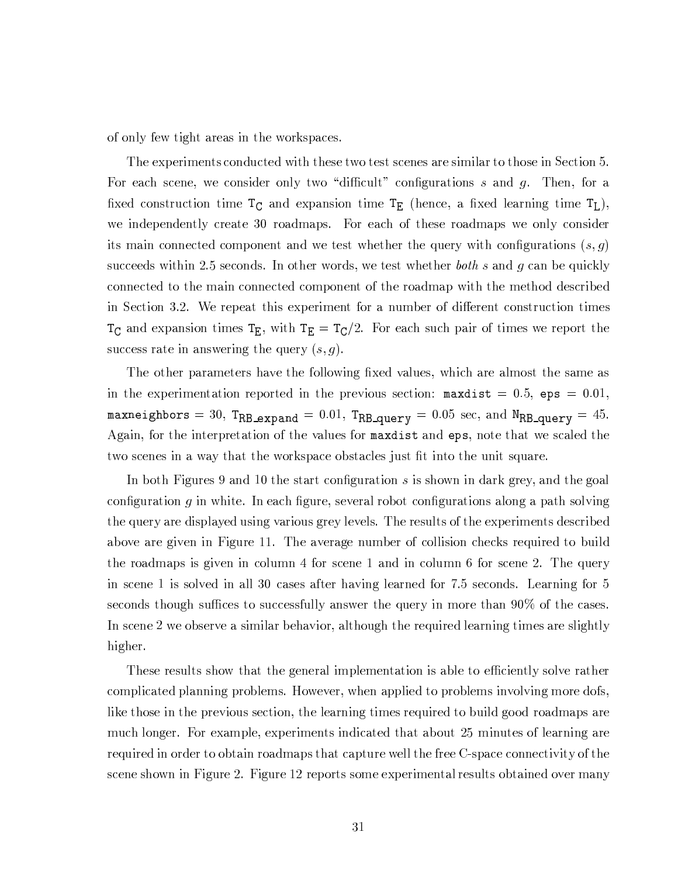of only few tight areas in the workspaces.

The experiments conducted with these two test scenes are similar to those in Section 5. For each scene, we consider only two "difficult" configurations  $s$  and  $g$ . Then, for a fixed construction time  $\mathtt{T}_\mathtt{C}$  and expansion time  $\mathtt{T}_\mathtt{E}$  (hence, a fixed learning time  $\mathtt{T}_\mathtt{L}$ ), we independently create 30 roadmaps. For each of these roadmaps we only consider its main connected component and we test whether the query with configurations  $(s, q)$ succeeds within 2.5 seconds. In other words, we test whether both s and g can be quickly connected to the main connected component of the roadmap with the method described in Section 3.2. We repeat this experiment for a number of different construction times  $T_C$  and expansion times  $T_E$ , with  $T_E = T_C/2$ . For each such pair of times we report the success rate in answering the query  $(s, g)$ .

The other parameters have the following fixed values, which are almost the same as in the experimentation reported in the previous section:  $\texttt{maxdist} = 0.5$ ,  $\texttt{eps} = 0.01$ , maxneighbors = 30,  $T_{RB\text{\_expand}} = 0.01$ ,  $T_{RB\text{\_query}} = 0.05$  sec, and  $N_{RB\text{\_query}} = 45$ . Again, for the interpretation of the values for maxdist and eps, note that we scaled the two scenes in a way that the workspace obstacles just fit into the unit square.

In both Figures 9 and 10 the start configuration s is shown in dark grey, and the goal configuration g in white. In each figure, several robot configurations along a path solving the query are displayed using various grey levels. The results of the experiments described above are given in Figure 11. The average number of collision checks required to build the roadmaps is given in column 4 for scene 1 and in column 6 for scene 2. The query in scene 1 is solved in all 30 cases after having learned for 7.5 seconds. Learning for 5 seconds though suffices to successfully answer the query in more than 90% of the cases. In scene 2 we observe a similar behavior, although the required learning times are slightly higher.

These results show that the general implementation is able to efficiently solve rather complicated planning problems. However, when applied to problems involving more dofs, like those in the previous section, the learning times required to build good roadmaps are much longer. For example, experiments indicated that about 25 minutes of learning are required in order to obtain roadmaps that capture well the free C-space connectivity of the scene shown in Figure 2. Figure 12 reports some experimental results obtained over many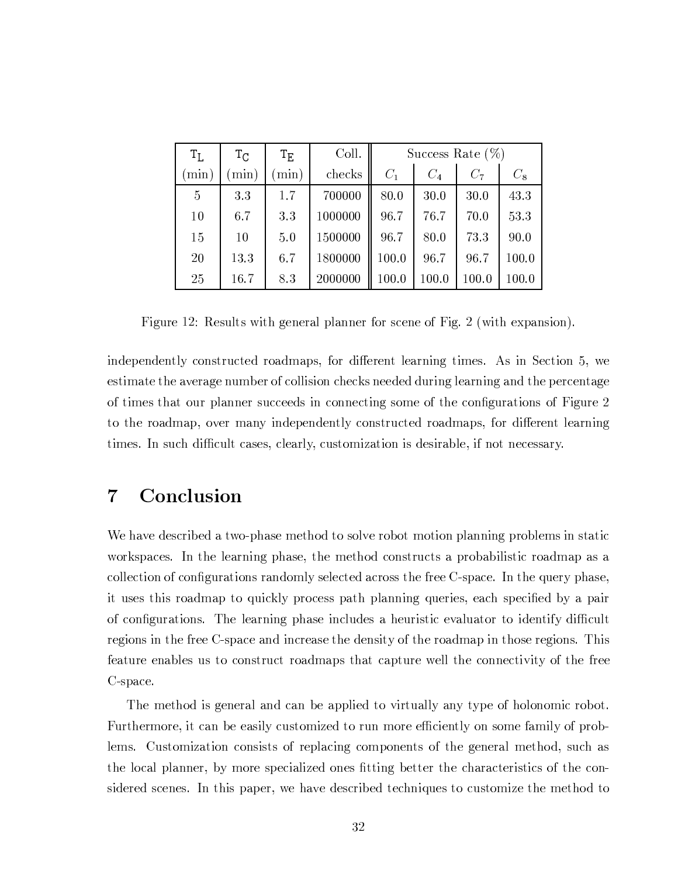| $\mathrm{T}_{\mathrm{L}}$ | $T_{\rm C}$ | $T_{\rm E}$ | Coll.   | Success Rate $(\%)$ |       |       |         |
|---------------------------|-------------|-------------|---------|---------------------|-------|-------|---------|
| $(\min)$                  | $(\min)$    | (min)       | checks  | $C_1$               | $C_4$ | $C_7$ | $C_{8}$ |
| 5                         | 3.3         | 1.7         | 700000  | 80.0                | 30.0  | 30.0  | 43.3    |
| 10                        | 6.7         | 3.3         | 1000000 | 96.7                | 76.7  | 70.0  | 53.3    |
| 15                        | 10          | 5.0         | 1500000 | 96.7                | 80.0  | 73.3  | 90.0    |
| 20                        | 13.3        | 6.7         | 1800000 | 100.0               | 96.7  | 96.7  | 100.0   |
| 25                        | 16.7        | 8.3         | 2000000 | 100.0               | 100.0 | 100.0 | 100.0   |

Figure 12: Results with general planner for scene of Fig. 2 (with expansion).

independently constructed roadmaps, for different learning times. As in Section 5, we estimate the average number of collision checks needed during learning and the percentage of times that our planner succeeds in connecting some of the configurations of Figure 2 to the roadmap, over many independently constructed roadmaps, for different learning times. In such difficult cases, clearly, customization is desirable, if not necessary.

### Conclusion  $\overline{7}$

We have described a two-phase method to solve robot motion planning problems in static workspaces. In the learning phase, the method constructs a probabilistic roadmap as a collection of configurations randomly selected across the free C-space. In the query phase, it uses this roadmap to quickly process path planning queries, each specified by a pair of configurations. The learning phase includes a heuristic evaluator to identify difficult regions in the free C-space and increase the density of the roadmap in those regions. This feature enables us to construct roadmaps that capture well the connectivity of the free  $C$ -space.

The method is general and can be applied to virtually any type of holonomic robot. Furthermore, it can be easily customized to run more efficiently on some family of problems. Customization consists of replacing components of the general method, such as the local planner, by more specialized ones fitting better the characteristics of the considered scenes. In this paper, we have described techniques to customize the method to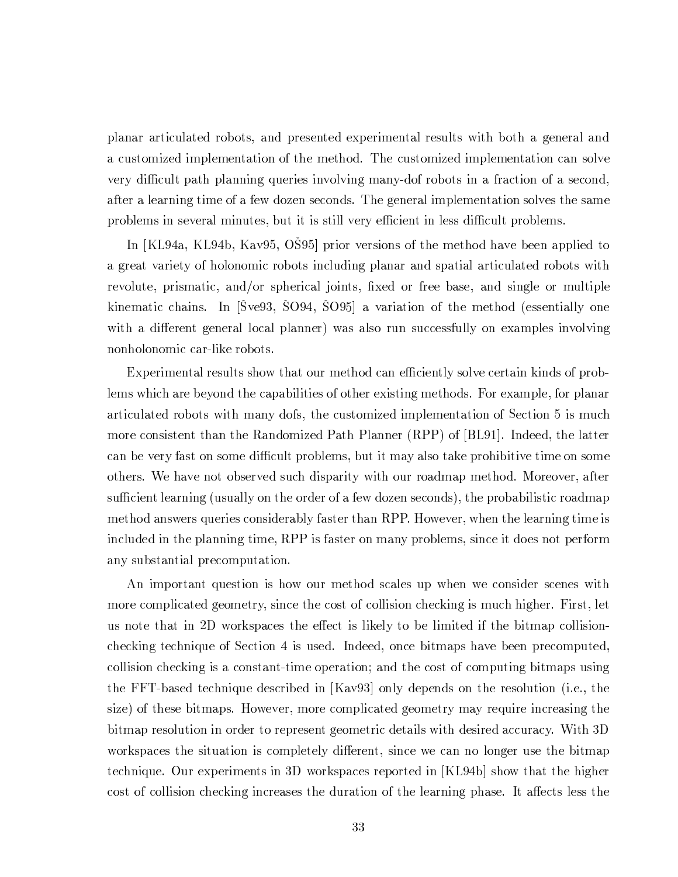planar articulated robots, and presented experimental results with both a general and a customized implementation of the method. The customized implementation can solve very difficult path planning queries involving many-dof robots in a fraction of a second, after a learning time of a few dozen seconds. The general implementation solves the same problems in several minutes, but it is still very efficient in less difficult problems.

In [KL94a, KL94b, Kav95, OS95] prior versions of the method have been applied to a great variety of holonomic robots including planar and spatial articulated robots with revolute, prismatic, and/or spherical joints, fixed or free base, and single or multiple kinematic chains. In [Sve93, SO94, SO95] a variation of the method (essentially one with a different general local planner) was also run successfully on examples involving nonholonomic car-like robots.

Experimental results show that our method can efficiently solve certain kinds of problems which are beyond the capabilities of other existing methods. For example, for planar articulated robots with many dofs, the customized implementation of Section 5 is much more consistent than the Randomized Path Planner (RPP) of [BL91]. Indeed, the latter can be very fast on some difficult problems, but it may also take prohibitive time on some others. We have not observed such disparity with our roadmap method. Moreover, after sufficient learning (usually on the order of a few dozen seconds), the probabilistic roadmap method answers queries considerably faster than RPP. However, when the learning time is included in the planning time, RPP is faster on many problems, since it does not perform any substantial precomputation.

An important question is how our method scales up when we consider scenes with more complicated geometry, since the cost of collision checking is much higher. First, let us note that in 2D workspaces the effect is likely to be limited if the bitmap collisionchecking technique of Section 4 is used. Indeed, once bitmaps have been precomputed, collision checking is a constant-time operation; and the cost of computing bitmaps using the FFT-based technique described in [Kav93] only depends on the resolution (i.e., the size) of these bitmaps. However, more complicated geometry may require increasing the bitmap resolution in order to represent geometric details with desired accuracy. With 3D workspaces the situation is completely different, since we can no longer use the bitmap technique. Our experiments in 3D workspaces reported in [KL94b] show that the higher cost of collision checking increases the duration of the learning phase. It affects less the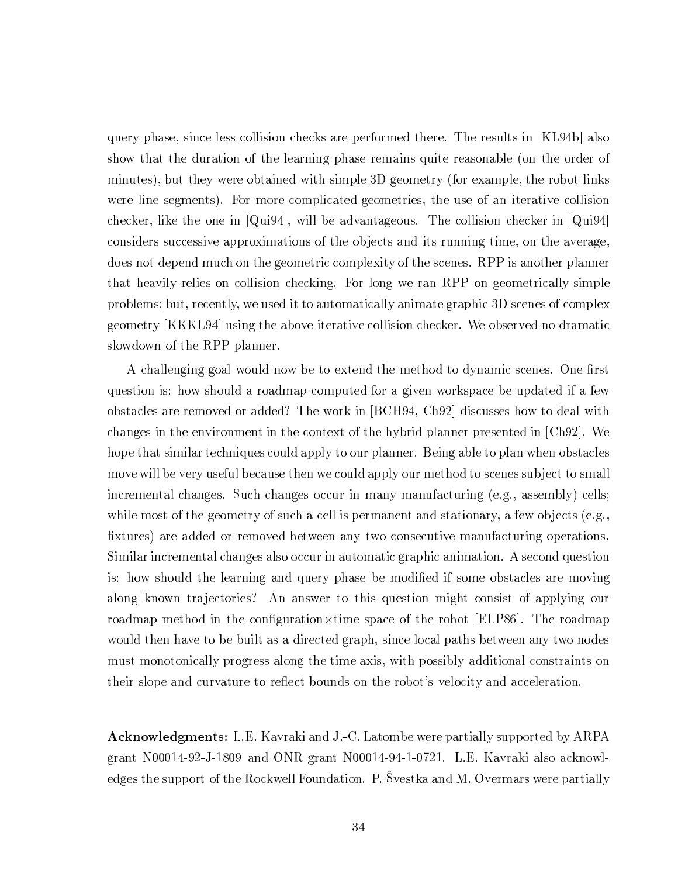query phase, since less collision checks are performed there. The results in [KL94b] also show that the duration of the learning phase remains quite reasonable (on the order of minutes), but they were obtained with simple 3D geometry (for example, the robot links were line segments). For more complicated geometries, the use of an iterative collision checker, like the one in [Qui94], will be advantageous. The collision checker in [Qui94] considers successive approximations of the objects and its running time, on the average, does not depend much on the geometric complexity of the scenes. RPP is another planner that heavily relies on collision checking. For long we ran RPP on geometrically simple problems; but, recently, we used it to automatically animate graphic 3D scenes of complex geometry [KKKL94] using the above iterative collision checker. We observed no dramatic slowdown of the RPP planner.

A challenging goal would now be to extend the method to dynamic scenes. One first question is: how should a roadmap computed for a given workspace be updated if a few obstacles are removed or added? The work in [BCH94, Ch92] discusses how to deal with changes in the environment in the context of the hybrid planner presented in [Ch92]. We hope that similar techniques could apply to our planner. Being able to plan when obstacles move will be very useful because then we could apply our method to scenes subject to small incremental changes. Such changes occur in many manufacturing (e.g., assembly) cells; while most of the geometry of such a cell is permanent and stationary, a few objects  $(e.g.,)$ fixtures) are added or removed between any two consecutive manufacturing operations. Similar incremental changes also occur in automatic graphic animation. A second question is: how should the learning and query phase be modified if some obstacles are moving along known trajectories? An answer to this question might consist of applying our roadmap method in the configuration  $\times$  time space of the robot [ELP86]. The roadmap would then have to be built as a directed graph, since local paths between any two nodes must monotonically progress along the time axis, with possibly additional constraints on their slope and curvature to reflect bounds on the robot's velocity and acceleration.

**Acknowledgments:** L.E. Kavraki and J.-C. Latombe were partially supported by ARPA grant N00014-92-J-1809 and ONR grant N00014-94-1-0721. L.E. Kavraki also acknowledges the support of the Rockwell Foundation. P. Švestka and M. Overmars were partially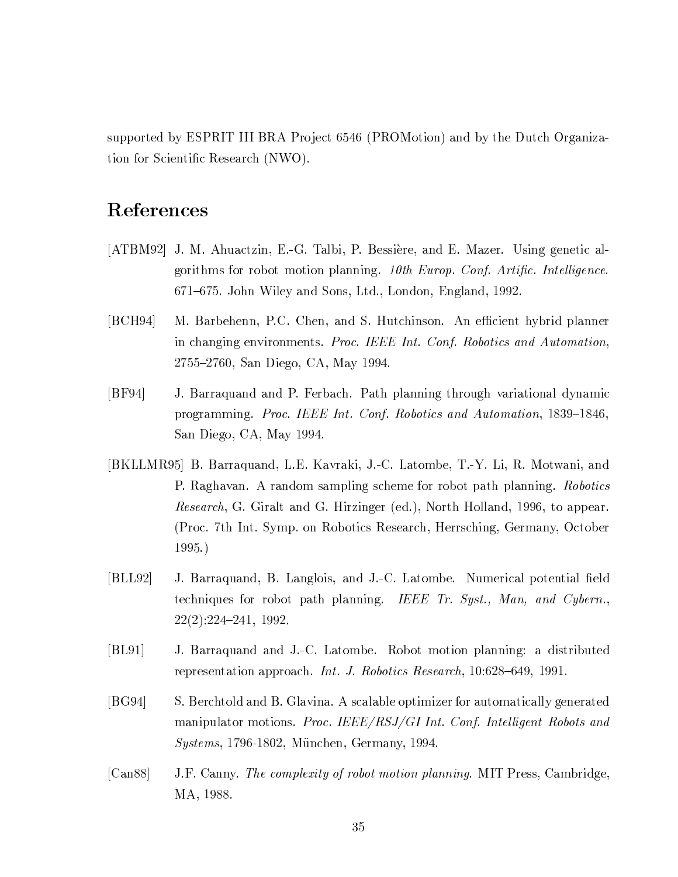supported by ESPRIT III BRA Project 6546 (PROMotion) and by the Dutch Organization for Scientific Research (NWO).

# References

- [ATBM92] J. M. Ahuactzin, E.-G. Talbi, P. Bessière, and E. Mazer. Using genetic algorithms for robot motion planning. 10th Europ. Conf. Artific. Intelligence. 671–675. John Wiley and Sons, Ltd., London, England, 1992.
- $[BCH94]$ M. Barbehenn, P.C. Chen, and S. Hutchinson. An efficient hybrid planner in changing environments. Proc. IEEE Int. Conf. Robotics and Automation, 2755–2760, San Diego, CA, May 1994.
- $[BF94]$ J. Barraquand and P. Ferbach. Path planning through variational dynamic programming. Proc. IEEE Int. Conf. Robotics and Automation, 1839-1846, San Diego, CA, May 1994.
- [BKLLMR95] B. Barraquand, L.E. Kavraki, J.-C. Latombe, T.-Y. Li, R. Motwani, and P. Raghavan. A random sampling scheme for robot path planning. Robotics Research, G. Giralt and G. Hirzinger (ed.), North Holland, 1996, to appear. (Proc. 7th Int. Symp. on Robotics Research, Herrsching, Germany, October 1995.)
- J. Barraquand, B. Langlois, and J.-C. Latombe. Numerical potential field  $|BLL92|$ techniques for robot path planning. IEEE Tr. Syst., Man, and Cybern.,  $22(2):224-241, 1992.$
- $[BL91]$ J. Barraquand and J.-C. Latombe. Robot motion planning: a distributed representation approach. Int. J. Robotics Research, 10:628-649, 1991.
- $[BG94]$ S. Berchtold and B. Glavina. A scalable optimizer for automatically generated manipulator motions. Proc. IEEE/RSJ/GI Int. Conf. Intelligent Robots and Systems, 1796-1802, München, Germany, 1994.
- $[Can88]$ J.F. Canny. The complexity of robot motion planning. MIT Press, Cambridge, MA, 1988.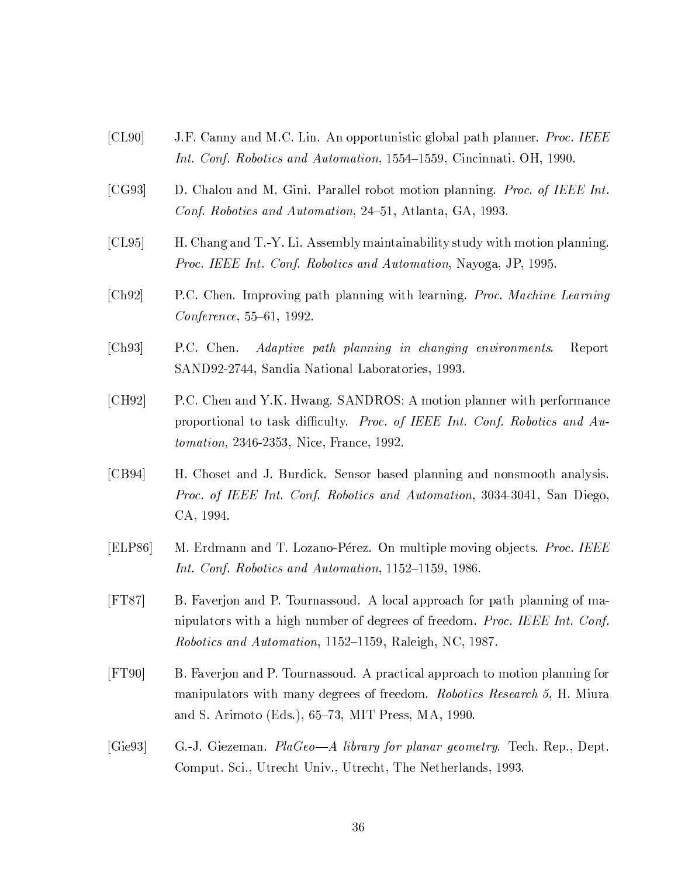- $[CL90]$ J.F. Canny and M.C. Lin. An opportunistic global path planner. *Proc. IEEE* Int. Conf. Robotics and Automation, 1554-1559, Cincinnati, OH, 1990.
- $[CG93]$ D. Chalou and M. Gini. Parallel robot motion planning. Proc. of IEEE Int. Conf. Robotics and Automation, 24-51, Atlanta, GA, 1993.
- $[CL95]$ H. Chang and T.-Y. Li. Assembly maintainability study with motion planning. Proc. IEEE Int. Conf. Robotics and Automation, Nayoga, JP, 1995.
- $[Ch92]$ P.C. Chen. Improving path planning with learning. Proc. Machine Learning Conference, 55-61, 1992.
- $[Ch93]$ P.C. Chen. Adaptive path planning in changing environments. Report SAND92-2744, Sandia National Laboratories, 1993.
- $[CH92]$ P.C. Chen and Y.K. Hwang. SANDROS: A motion planner with performance proportional to task difficulty. Proc. of IEEE Int. Conf. Robotics and Au*tomation*, 2346-2353, Nice, France, 1992.
- $[CB94]$ H. Choset and J. Burdick. Sensor based planning and nonsmooth analysis. Proc. of IEEE Int. Conf. Robotics and Automation, 3034-3041, San Diego, CA, 1994.
- $[ELP86]$ M. Erdmann and T. Lozano-Pérez. On multiple moving objects. Proc. IEEE Int. Conf. Robotics and Automation, 1152-1159, 1986.
- $[FT87]$ B. Faverjon and P. Tournassoud. A local approach for path planning of manipulators with a high number of degrees of freedom. Proc. IEEE Int. Conf. *Robotics and Automation*, 1152–1159, Raleigh, NC, 1987.
- $[FT90]$ B. Faverjon and P. Tournassoud. A practical approach to motion planning for manipulators with many degrees of freedom. Robotics Research 5, H. Miura and S. Arimoto (Eds.), 65–73, MIT Press, MA, 1990.
- $[Gie93]$ G.-J. Giezeman. *PlaGeo-A library for planar geometry*. Tech. Rep., Dept. Comput. Sci., Utrecht Univ., Utrecht, The Netherlands, 1993.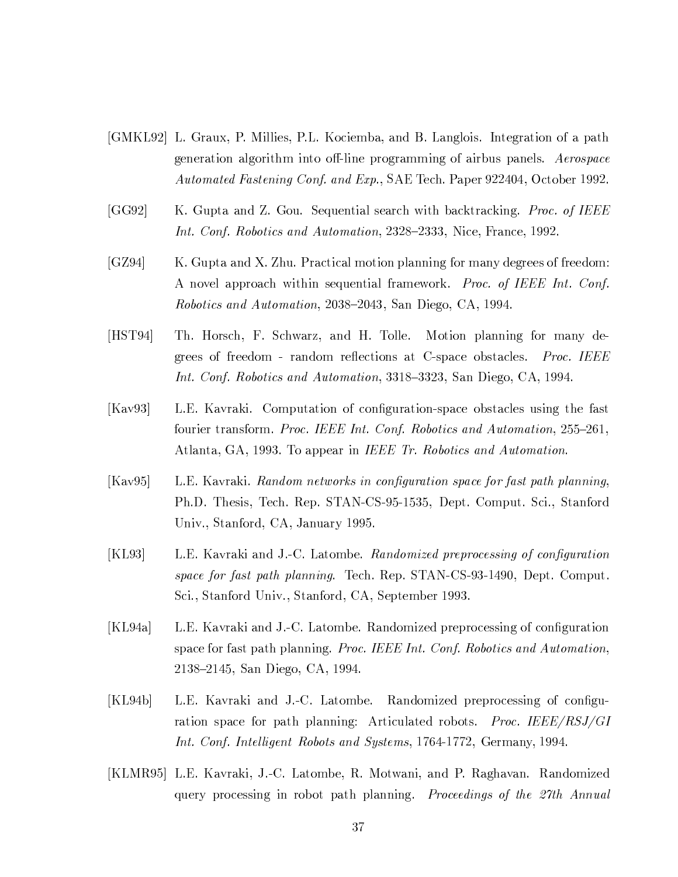- [GMKL92] L. Graux, P. Millies, P.L. Kociemba, and B. Langlois. Integration of a path generation algorithm into off-line programming of airbus panels. Aerospace Automated Fastening Conf. and Exp., SAE Tech. Paper 922404, October 1992.
- $[GG92]$ K. Gupta and Z. Gou. Sequential search with backtracking. *Proc. of IEEE* Int. Conf. Robotics and Automation, 2328-2333, Nice, France, 1992.
- $\left[$ GZ94 $\right]$ K. Gupta and X. Zhu. Practical motion planning for many degrees of freedom: A novel approach within sequential framework. *Proc. of IEEE Int. Conf.* Robotics and Automation, 2038-2043, San Diego, CA, 1994.
- $[HST94]$ Th. Horsch, F. Schwarz, and H. Tolle. Motion planning for many degrees of freedom - random reflections at C-space obstacles. *Proc. IEEE* Int. Conf. Robotics and Automation, 3318-3323, San Diego, CA, 1994.
- $[Kav93]$ L.E. Kavraki. Computation of configuration-space obstacles using the fast fourier transform. Proc. IEEE Int. Conf. Robotics and Automation, 255–261, Atlanta, GA, 1993. To appear in IEEE Tr. Robotics and Automation.
- $[Kav95]$ L.E. Kavraki. Random networks in configuration space for fast path planning, Ph.D. Thesis, Tech. Rep. STAN-CS-95-1535, Dept. Comput. Sci., Stanford Univ., Stanford, CA, January 1995.
- $[KL93]$ L.E. Kavraki and J.-C. Latombe. Randomized preprocessing of configuration space for fast path planning. Tech. Rep. STAN-CS-93-1490, Dept. Comput. Sci., Stanford Univ., Stanford, CA, September 1993.
- $[KL94a]$ L.E. Kavraki and J.-C. Latombe. Randomized preprocessing of configuration space for fast path planning. Proc. IEEE Int. Conf. Robotics and Automation, 2138-2145, San Diego, CA, 1994.
- $[KL94b]$ L.E. Kavraki and J.-C. Latombe. Randomized preprocessing of configuration space for path planning: Articulated robots. *Proc. IEEE/RSJ/GI* Int. Conf. Intelligent Robots and Systems, 1764-1772, Germany, 1994.
- [KLMR95] L.E. Kavraki, J.-C. Latombe, R. Motwani, and P. Raghavan. Randomized query processing in robot path planning. Proceedings of the 27th Annual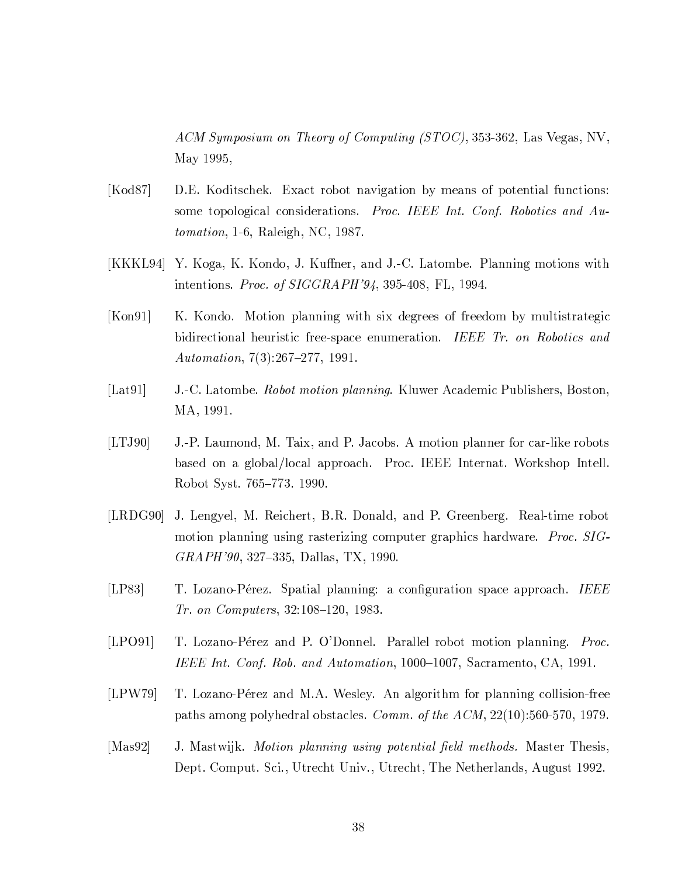ACM Symposium on Theory of Computing (STOC), 353-362, Las Vegas, NV, May 1995,

- $[Kod87]$ D.E. Koditschek. Exact robot navigation by means of potential functions: some topological considerations. Proc. IEEE Int. Conf. Robotics and Au $tomation$ , 1-6, Raleigh, NC, 1987.
- [KKKL94] Y. Koga, K. Kondo, J. Kuffner, and J.-C. Latombe. Planning motions with intentions. *Proc. of SIGGRAPH*'94, 395-408, FL, 1994.
- $[Kon91]$ K. Kondo. Motion planning with six degrees of freedom by multistrategic bidirectional heuristic free-space enumeration. IEEE Tr. on Robotics and  $Automation, 7(3):267-277, 1991.$
- $[Lat91]$ J.-C. Latombe. Robot motion planning. Kluwer Academic Publishers, Boston, MA, 1991.
- $[LTJ90]$ J.-P. Laumond, M. Taix, and P. Jacobs. A motion planner for car-like robots based on a global/local approach. Proc. IEEE Internat. Workshop Intell. Robot Syst. 765–773. 1990.
- [LRDG90] J. Lengyel, M. Reichert, B.R. Donald, and P. Greenberg. Real-time robot motion planning using rasterizing computer graphics hardware. *Proc. SIG-* $GRAPH'90, 327-335, Dallas, TX, 1990.$
- $[LP83]$ T. Lozano-Pérez. Spatial planning: a configuration space approach. IEEE *Tr. on Computers,* 32:108-120, 1983.
- T. Lozano-Pérez and P. O'Donnel. Parallel robot motion planning. Proc.  $[LPO91]$ IEEE Int. Conf. Rob. and Automation, 1000–1007, Sacramento, CA, 1991.
- $[LPW79]$ T. Lozano-Pérez and M.A. Wesley. An algorithm for planning collision-free paths among polyhedral obstacles. *Comm. of the ACM*,  $22(10):560-570$ , 1979.
- [ $Mas92$ ] J. Mastwijk. Motion planning using potential field methods. Master Thesis, Dept. Comput. Sci., Utrecht Univ., Utrecht, The Netherlands, August 1992.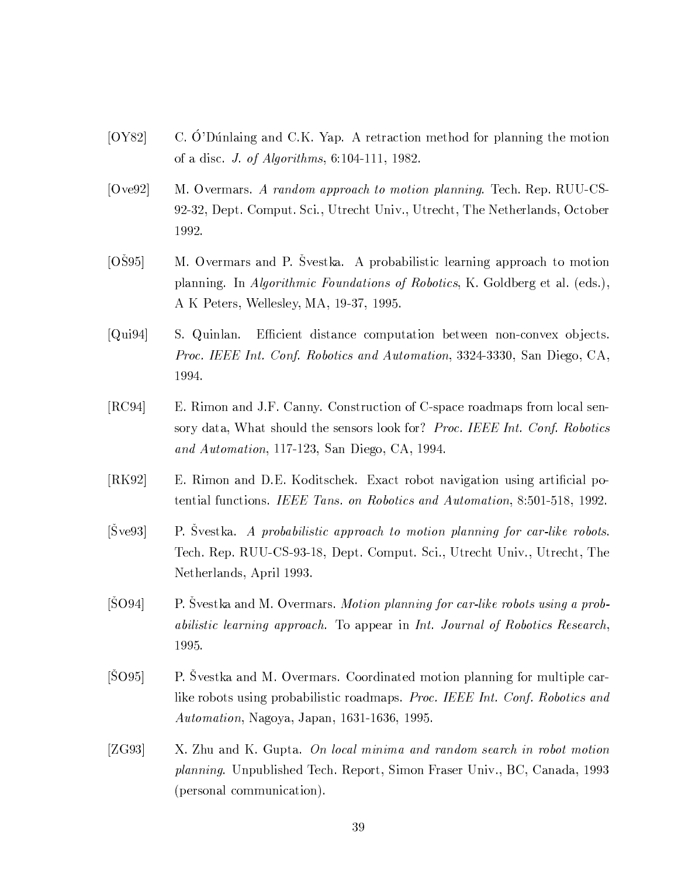- C. Ó'Dúnlaing and C.K. Yap. A retraction method for planning the motion  $[OY82]$ of a disc. J. of Algorithms, 6:104-111, 1982.
- $[Ove92]$ M. Overmars. A random approach to motion planning. Tech. Rep. RUU-CS-92-32, Dept. Comput. Sci., Utrecht Univ., Utrecht, The Netherlands, October 1992.
- $[O\text{S}95]$ M. Overmars and P. Švestka. A probabilistic learning approach to motion planning. In *Algorithmic Foundations of Robotics*, K. Goldberg et al. (eds.), A K Peters, Wellesley, MA, 19-37, 1995.
- $[Qui94]$ Efficient distance computation between non-convex objects. S. Quinlan. *Proc. IEEE Int. Conf. Robotics and Automation*, 3324-3330, San Diego, CA, 1994.
- $[RC94]$ E. Rimon and J.F. Canny. Construction of C-space roadmaps from local sensory data. What should the sensors look for? Proc. IEEE Int. Conf. Robotics and Automation, 117-123, San Diego, CA, 1994.
- $[RK92]$ E. Rimon and D.E. Koditschek. Exact robot navigation using artificial potential functions. IEEE Tans. on Robotics and Automation, 8:501-518, 1992.
- $[\text{Sve}93]$ P. Švestka. A probabilistic approach to motion planning for car-like robots. Tech. Rep. RUU-CS-93-18, Dept. Comput. Sci., Utrecht Univ., Utrecht, The Netherlands, April 1993.
- $|\text{SO}94|$ P. Švestka and M. Overmars. Motion planning for car-like robots using a probabilistic learning approach. To appear in Int. Journal of Robotics Research, 1995.
- $|\text{SO}95|$ P. Švestka and M. Overmars. Coordinated motion planning for multiple carlike robots using probabilistic roadmaps. Proc. IEEE Int. Conf. Robotics and *Automation*, Nagoya, Japan, 1631-1636, 1995.
- $[ZG93]$ X. Zhu and K. Gupta. On local minima and random search in robot motion planning. Unpublished Tech. Report, Simon Fraser Univ., BC, Canada, 1993 (personal communication).